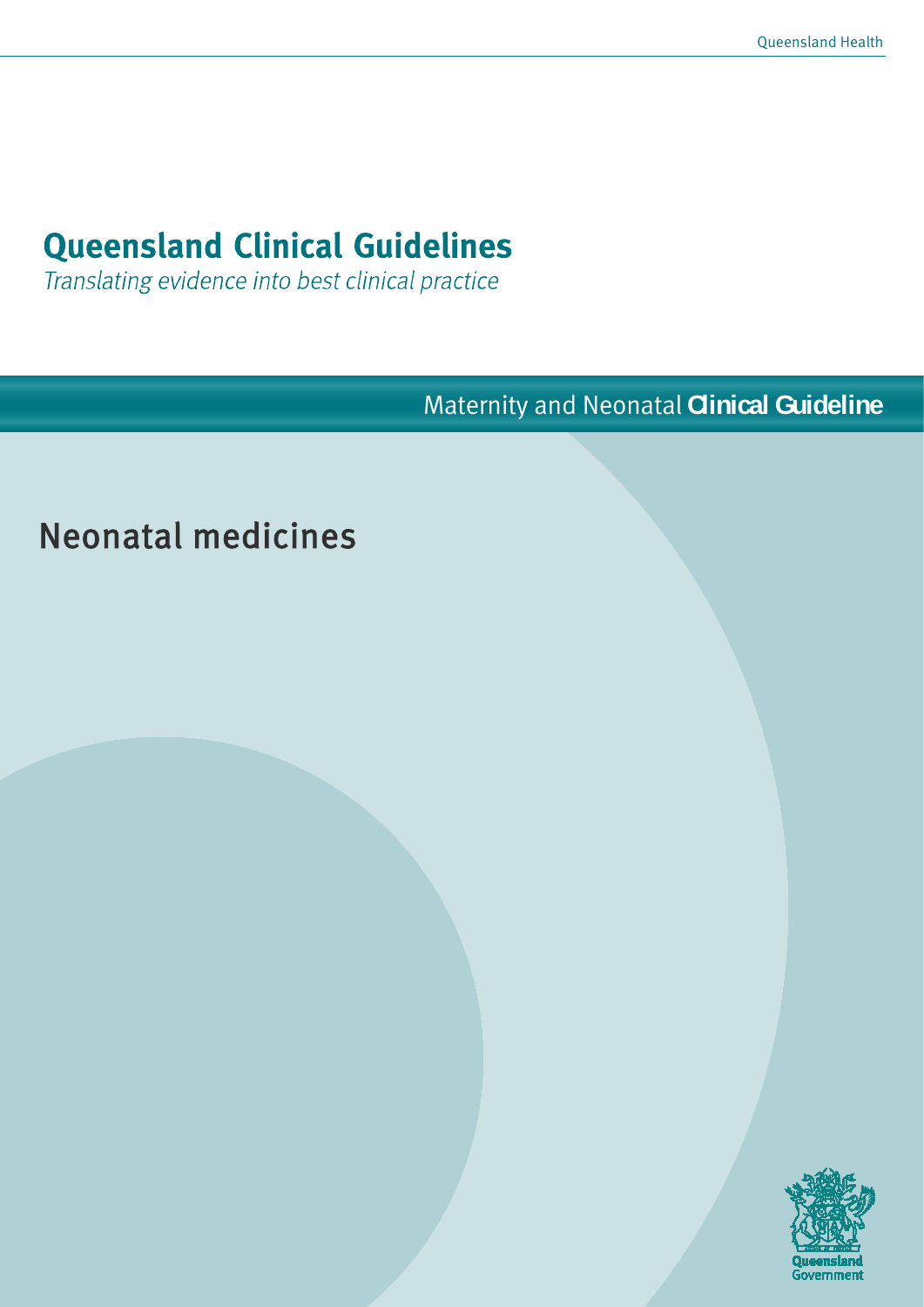# **Queensland Clinical Guidelines**

Translating evidence into best clinical practice

Maternity and Neonatal **Clinical Guideline**

# Neonatal medicines

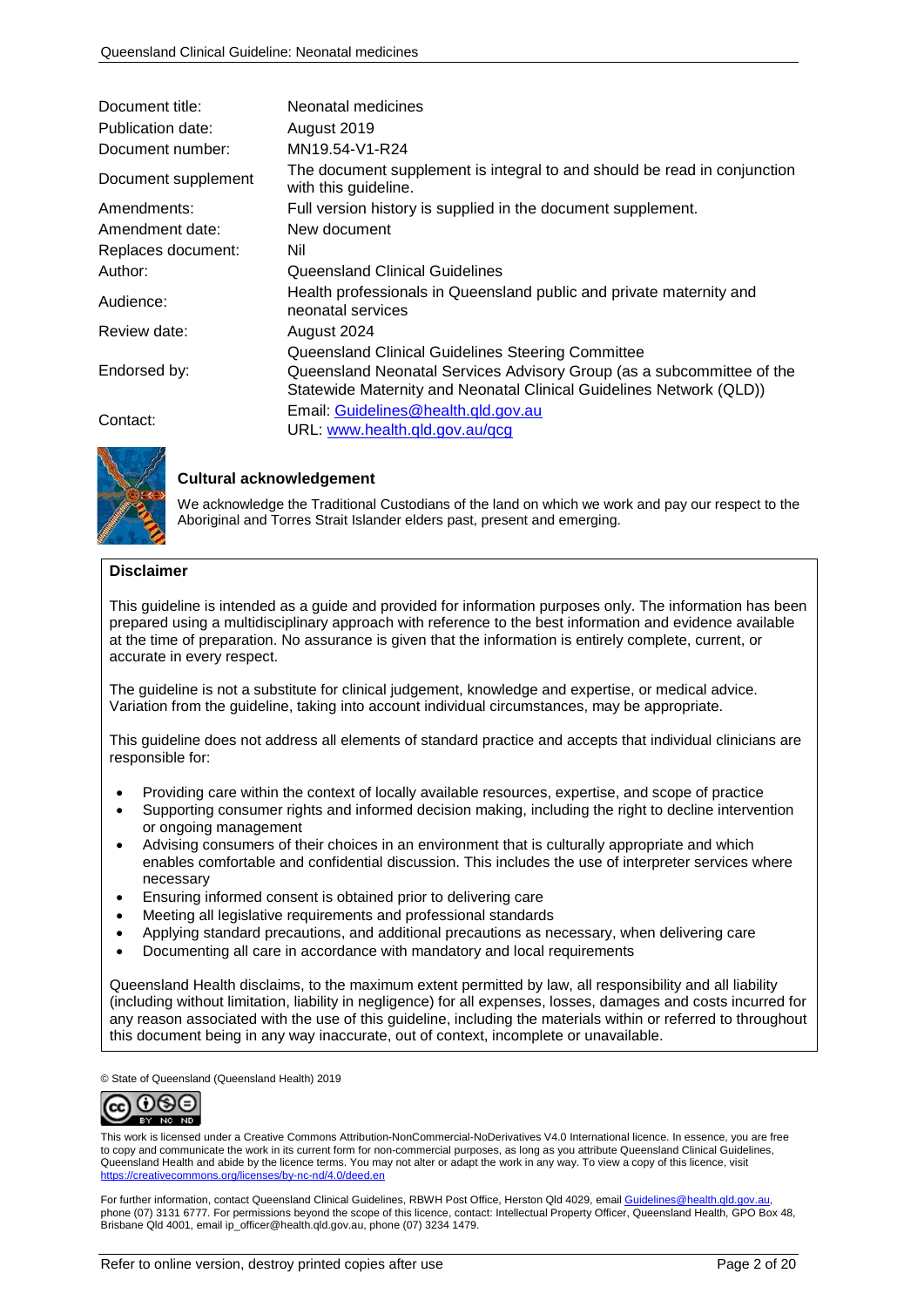| Document title:     | Neonatal medicines                                                                               |
|---------------------|--------------------------------------------------------------------------------------------------|
| Publication date:   | August 2019                                                                                      |
| Document number:    | MN19.54-V1-R24                                                                                   |
| Document supplement | The document supplement is integral to and should be read in conjunction<br>with this guideline. |
| Amendments:         | Full version history is supplied in the document supplement.                                     |
| Amendment date:     | New document                                                                                     |
| Replaces document:  | Nil                                                                                              |
| Author:             | Queensland Clinical Guidelines                                                                   |
| Audience:           | Health professionals in Queensland public and private maternity and<br>neonatal services         |
| Review date:        | August 2024                                                                                      |
|                     | Queensland Clinical Guidelines Steering Committee                                                |
| Endorsed by:        | Queensland Neonatal Services Advisory Group (as a subcommittee of the                            |
|                     | Statewide Maternity and Neonatal Clinical Guidelines Network (QLD))                              |
| Contact:            | Email: Guidelines@health.gld.gov.au                                                              |
|                     | URL: www.health.qld.gov.au/qcg                                                                   |



### **Cultural acknowledgement**

We acknowledge the Traditional Custodians of the land on which we work and pay our respect to the Aboriginal and Torres Strait Islander elders past, present and emerging.

#### **Disclaimer**

This guideline is intended as a guide and provided for information purposes only. The information has been prepared using a multidisciplinary approach with reference to the best information and evidence available at the time of preparation. No assurance is given that the information is entirely complete, current, or accurate in every respect.

The guideline is not a substitute for clinical judgement, knowledge and expertise, or medical advice. Variation from the guideline, taking into account individual circumstances, may be appropriate.

This guideline does not address all elements of standard practice and accepts that individual clinicians are responsible for:

- Providing care within the context of locally available resources, expertise, and scope of practice
- Supporting consumer rights and informed decision making, including the right to decline intervention or ongoing management
- Advising consumers of their choices in an environment that is culturally appropriate and which enables comfortable and confidential discussion. This includes the use of interpreter services where necessary
- Ensuring informed consent is obtained prior to delivering care
- Meeting all legislative requirements and professional standards
- Applying standard precautions, and additional precautions as necessary, when delivering care
- Documenting all care in accordance with mandatory and local requirements

Queensland Health disclaims, to the maximum extent permitted by law, all responsibility and all liability (including without limitation, liability in negligence) for all expenses, losses, damages and costs incurred for any reason associated with the use of this guideline, including the materials within or referred to throughout this document being in any way inaccurate, out of context, incomplete or unavailable.

© State of Queensland (Queensland Health) 2019



This work is licensed under a Creative Commons Attribution-NonCommercial-NoDerivatives V4.0 International licence. In essence, you are free to copy and communicate the work in its current form for non-commercial purposes, as long as you attribute Queensland Clinical Guidelines, Queensland Health and abide by the licence terms. You may not alter or adapt the work in any way. To view a copy of this licence, visit <https://creativecommons.org/licenses/by-nc-nd/4.0/deed.en>

For further information, contact Queensland Clinical Guidelines, RBWH Post Office, Herston Qld 4029, emai[l Guidelines@health.qld.gov.au,](mailto:Guidelines@health.qld.gov.au) phone (07) 3131 6777. For permissions beyond the scope of this licence, contact: Intellectual Property Officer, Queensland Health, GPO Box 48, Brisbane Qld 4001, email ip\_officer@health.qld.gov.au, phone (07) 3234 1479.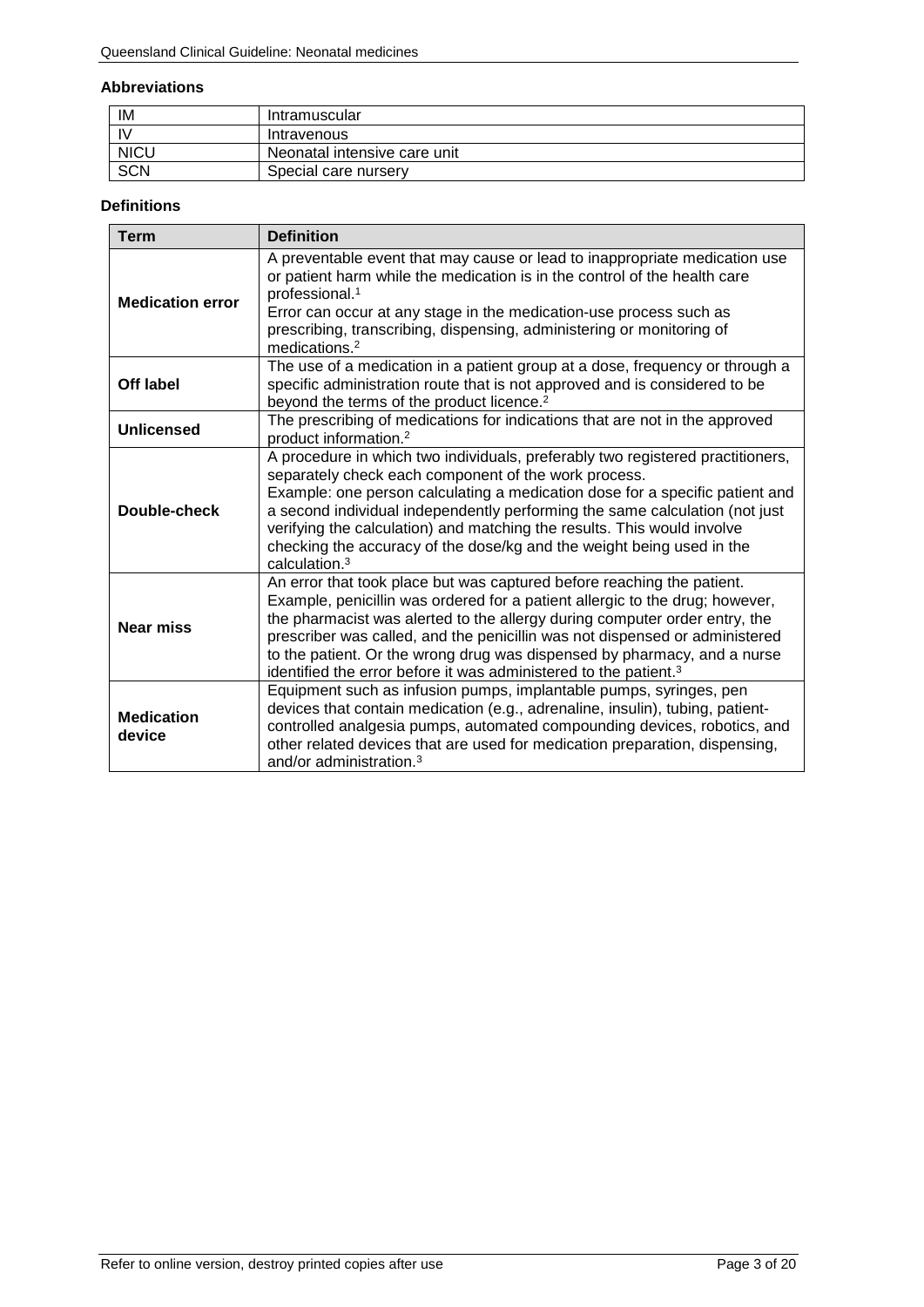#### **Abbreviations**

| IM           | Intramuscular                |
|--------------|------------------------------|
| $\mathsf{N}$ | Intravenous                  |
| <b>NICU</b>  | Neonatal intensive care unit |
| <b>SCN</b>   | Special care nursery         |

### **Definitions**

| <b>Term</b>                 | <b>Definition</b>                                                                                                                                                                                                                                                                                                                                                                                                                                                               |
|-----------------------------|---------------------------------------------------------------------------------------------------------------------------------------------------------------------------------------------------------------------------------------------------------------------------------------------------------------------------------------------------------------------------------------------------------------------------------------------------------------------------------|
| <b>Medication error</b>     | A preventable event that may cause or lead to inappropriate medication use<br>or patient harm while the medication is in the control of the health care<br>professional. <sup>1</sup><br>Error can occur at any stage in the medication-use process such as<br>prescribing, transcribing, dispensing, administering or monitoring of<br>medications. <sup>2</sup>                                                                                                               |
| Off label                   | The use of a medication in a patient group at a dose, frequency or through a<br>specific administration route that is not approved and is considered to be<br>beyond the terms of the product licence. <sup>2</sup>                                                                                                                                                                                                                                                             |
| Unlicensed                  | The prescribing of medications for indications that are not in the approved<br>product information. <sup>2</sup>                                                                                                                                                                                                                                                                                                                                                                |
| Double-check                | A procedure in which two individuals, preferably two registered practitioners,<br>separately check each component of the work process.<br>Example: one person calculating a medication dose for a specific patient and<br>a second individual independently performing the same calculation (not just<br>verifying the calculation) and matching the results. This would involve<br>checking the accuracy of the dose/kg and the weight being used in the<br>calculation. $3$   |
| <b>Near miss</b>            | An error that took place but was captured before reaching the patient.<br>Example, penicillin was ordered for a patient allergic to the drug; however,<br>the pharmacist was alerted to the allergy during computer order entry, the<br>prescriber was called, and the penicillin was not dispensed or administered<br>to the patient. Or the wrong drug was dispensed by pharmacy, and a nurse<br>identified the error before it was administered to the patient. <sup>3</sup> |
| <b>Medication</b><br>device | Equipment such as infusion pumps, implantable pumps, syringes, pen<br>devices that contain medication (e.g., adrenaline, insulin), tubing, patient-<br>controlled analgesia pumps, automated compounding devices, robotics, and<br>other related devices that are used for medication preparation, dispensing,<br>and/or administration. <sup>3</sup>                                                                                                                           |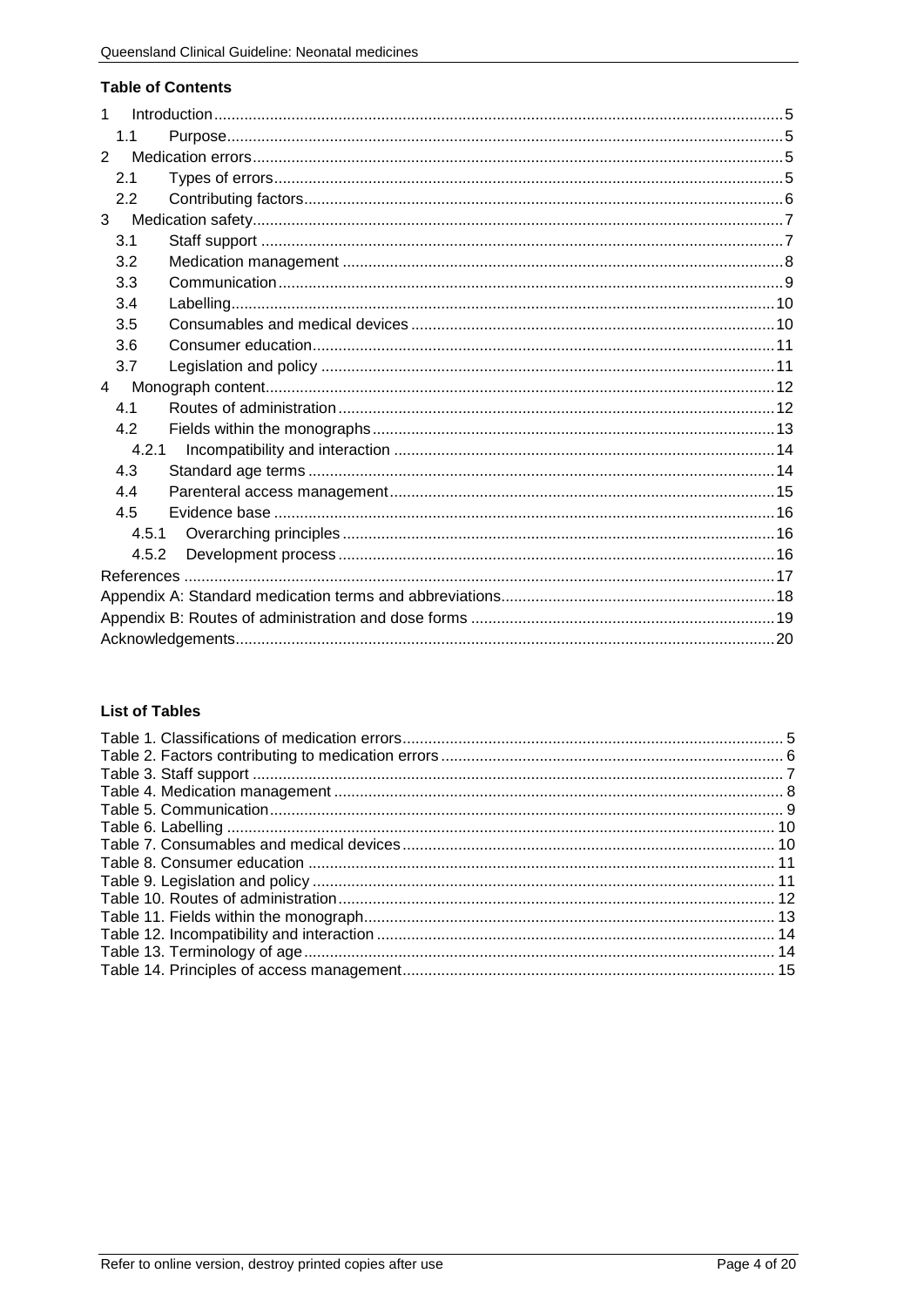### **Table of Contents**

| 1              |  |
|----------------|--|
| 1.1            |  |
| $\overline{2}$ |  |
| 2.1            |  |
| 2.2            |  |
| 3              |  |
| 3.1            |  |
| 3.2            |  |
| 3.3            |  |
| 3.4            |  |
| 3.5            |  |
| 3.6            |  |
| 3.7            |  |
| $\overline{4}$ |  |
| 4.1            |  |
| 4.2            |  |
| 4.2.1          |  |
| 4.3            |  |
| 4.4            |  |
| 4.5            |  |
| 4.5.1          |  |
| 4.5.2          |  |
|                |  |
|                |  |
|                |  |
|                |  |

## **List of Tables**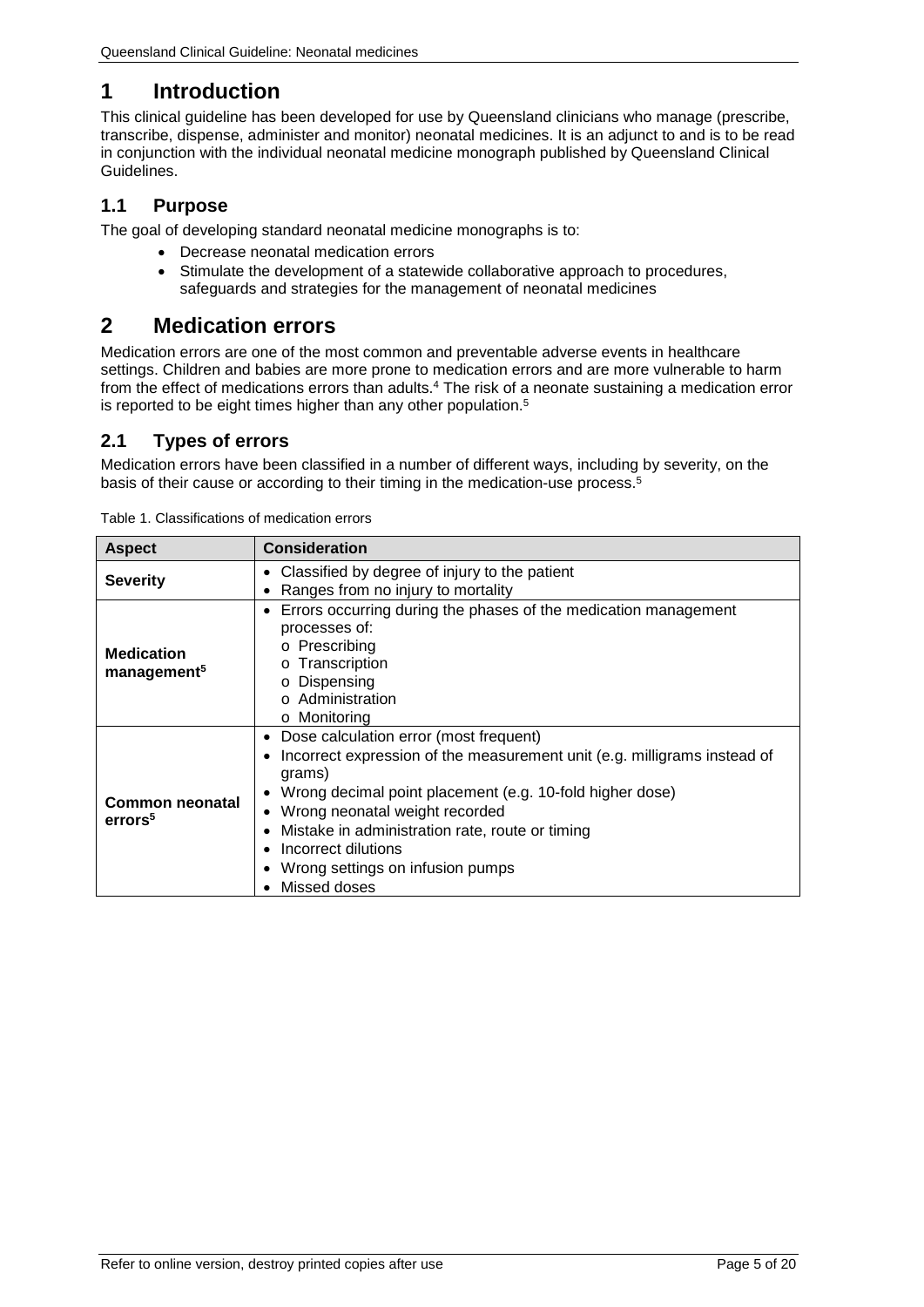# <span id="page-4-0"></span>**1 Introduction**

This clinical guideline has been developed for use by Queensland clinicians who manage (prescribe, transcribe, dispense, administer and monitor) neonatal medicines. It is an adjunct to and is to be read in conjunction with the individual neonatal medicine monograph published by Queensland Clinical Guidelines.

## <span id="page-4-1"></span>**1.1 Purpose**

The goal of developing standard neonatal medicine monographs is to:

- Decrease neonatal medication errors
- Stimulate the development of a statewide collaborative approach to procedures, safeguards and strategies for the management of neonatal medicines

# <span id="page-4-2"></span>**2 Medication errors**

Medication errors are one of the most common and preventable adverse events in healthcare settings. Children and babies are more prone to medication errors and are more vulnerable to harm from the effect of medications errors than adults.4 The risk of a neonate sustaining a medication error is reported to be eight times higher than any other population.<sup>5</sup>

## <span id="page-4-3"></span>**2.1 Types of errors**

Medication errors have been classified in a number of different ways, including by severity, on the basis of their cause or according to their timing in the medication-use process.<sup>5</sup>

| <b>Aspect</b>                                | <b>Consideration</b>                                                                                                                                                                                                                                                                                                                                       |
|----------------------------------------------|------------------------------------------------------------------------------------------------------------------------------------------------------------------------------------------------------------------------------------------------------------------------------------------------------------------------------------------------------------|
| <b>Severity</b>                              | Classified by degree of injury to the patient                                                                                                                                                                                                                                                                                                              |
|                                              | Ranges from no injury to mortality                                                                                                                                                                                                                                                                                                                         |
| <b>Medication</b><br>management <sup>5</sup> | Errors occurring during the phases of the medication management<br>processes of:<br>o Prescribing<br>Transcription<br>Dispensing<br>$\circ$ Administration<br>○ Monitoring                                                                                                                                                                                 |
| Common neonatal<br>errors <sup>5</sup>       | Dose calculation error (most frequent)<br>Incorrect expression of the measurement unit (e.g. milligrams instead of<br>grams)<br>Wrong decimal point placement (e.g. 10-fold higher dose)<br>• Wrong neonatal weight recorded<br>Mistake in administration rate, route or timing<br>Incorrect dilutions<br>Wrong settings on infusion pumps<br>Missed doses |

<span id="page-4-4"></span>Table 1. Classifications of medication errors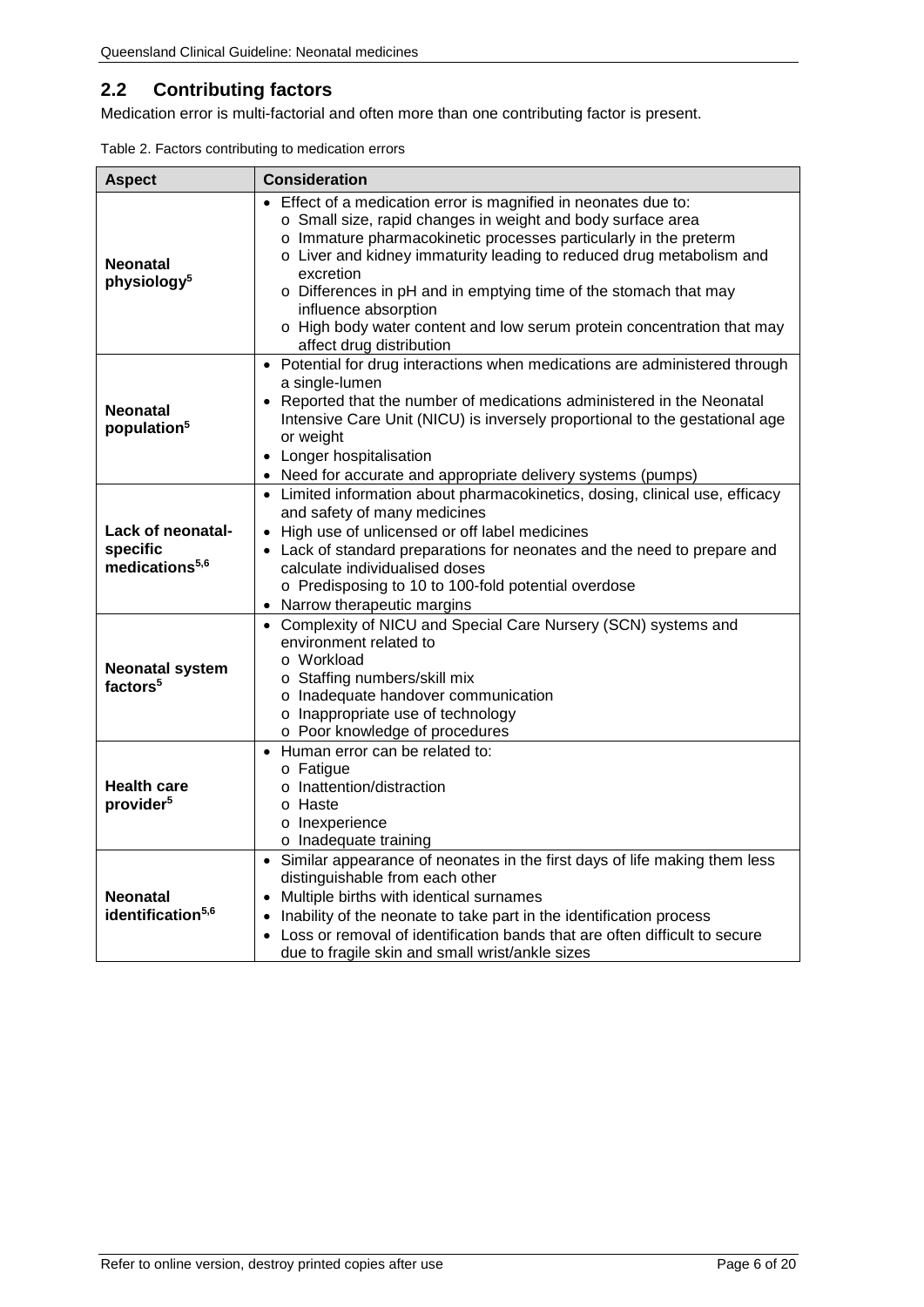# <span id="page-5-0"></span>**2.2 Contributing factors**

Medication error is multi-factorial and often more than one contributing factor is present.

<span id="page-5-1"></span>

| Table 2. Factors contributing to medication errors |  |
|----------------------------------------------------|--|
|----------------------------------------------------|--|

| <b>Aspect</b>                                               | <b>Consideration</b>                                                                                                                                                                                                                                                                                                                                                                                                                                                                      |
|-------------------------------------------------------------|-------------------------------------------------------------------------------------------------------------------------------------------------------------------------------------------------------------------------------------------------------------------------------------------------------------------------------------------------------------------------------------------------------------------------------------------------------------------------------------------|
| <b>Neonatal</b><br>physiology <sup>5</sup>                  | • Effect of a medication error is magnified in neonates due to:<br>o Small size, rapid changes in weight and body surface area<br>o Immature pharmacokinetic processes particularly in the preterm<br>o Liver and kidney immaturity leading to reduced drug metabolism and<br>excretion<br>o Differences in pH and in emptying time of the stomach that may<br>influence absorption<br>o High body water content and low serum protein concentration that may<br>affect drug distribution |
| <b>Neonatal</b><br>population <sup>5</sup>                  | • Potential for drug interactions when medications are administered through<br>a single-lumen<br>• Reported that the number of medications administered in the Neonatal<br>Intensive Care Unit (NICU) is inversely proportional to the gestational age<br>or weight<br>• Longer hospitalisation<br>• Need for accurate and appropriate delivery systems (pumps)                                                                                                                           |
| Lack of neonatal-<br>specific<br>medications <sup>5,6</sup> | • Limited information about pharmacokinetics, dosing, clinical use, efficacy<br>and safety of many medicines<br>• High use of unlicensed or off label medicines<br>• Lack of standard preparations for neonates and the need to prepare and<br>calculate individualised doses<br>o Predisposing to 10 to 100-fold potential overdose<br>• Narrow therapeutic margins                                                                                                                      |
| <b>Neonatal system</b><br>factors <sup>5</sup>              | • Complexity of NICU and Special Care Nursery (SCN) systems and<br>environment related to<br>o Workload<br>o Staffing numbers/skill mix<br>o Inadequate handover communication<br>o Inappropriate use of technology<br>o Poor knowledge of procedures                                                                                                                                                                                                                                     |
| <b>Health care</b><br>provider <sup>5</sup>                 | • Human error can be related to:<br>o Fatigue<br>o Inattention/distraction<br>o Haste<br>o Inexperience<br>o Inadequate training                                                                                                                                                                                                                                                                                                                                                          |
| <b>Neonatal</b><br>identification <sup>5,6</sup>            | • Similar appearance of neonates in the first days of life making them less<br>distinguishable from each other<br>• Multiple births with identical surnames<br>• Inability of the neonate to take part in the identification process<br>• Loss or removal of identification bands that are often difficult to secure<br>due to fragile skin and small wrist/ankle sizes                                                                                                                   |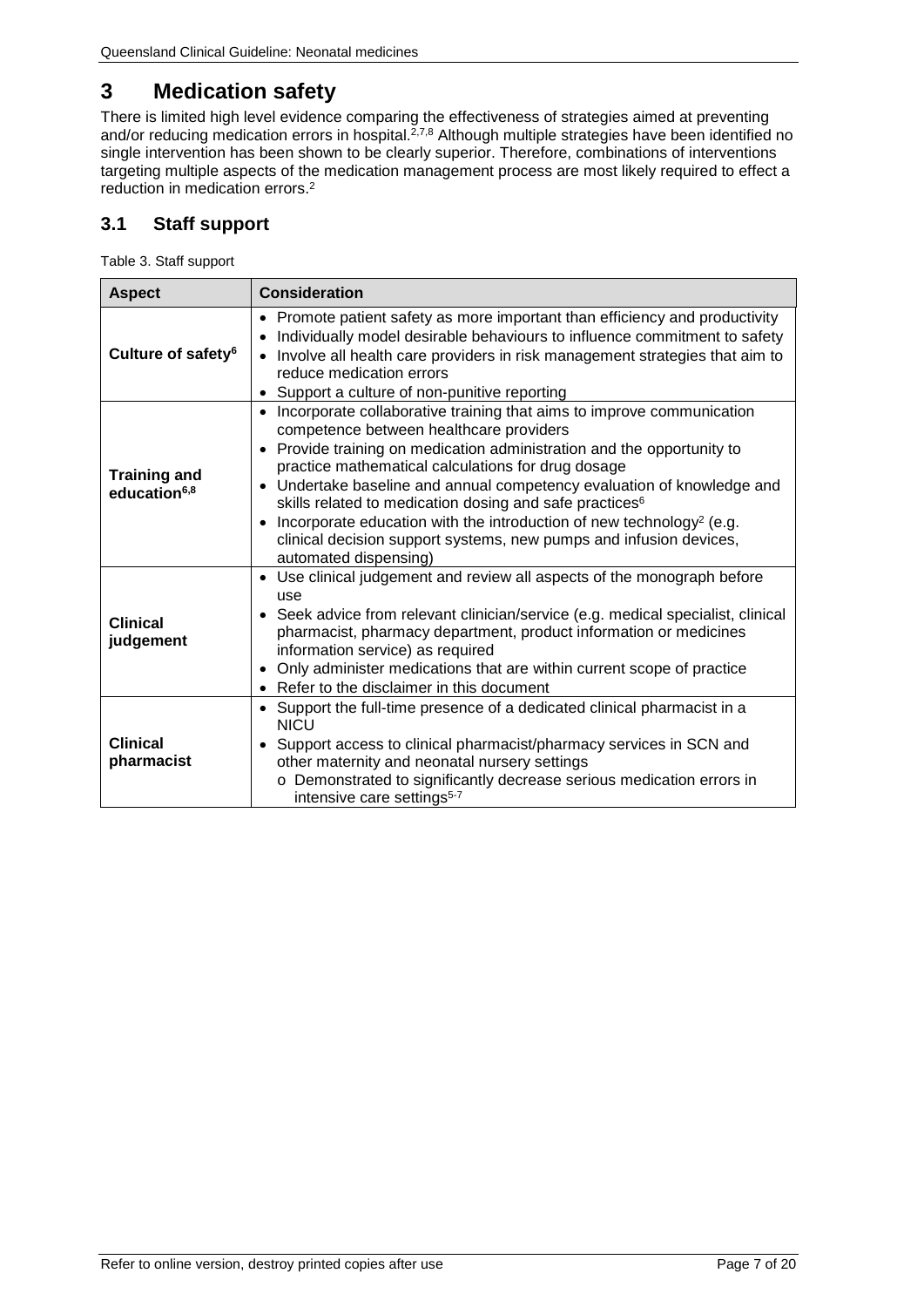# <span id="page-6-0"></span>**3 Medication safety**

There is limited high level evidence comparing the effectiveness of strategies aimed at preventing and/or reducing medication errors in hospital.<sup>2,7,8</sup> Although multiple strategies have been identified no single intervention has been shown to be clearly superior. Therefore, combinations of interventions targeting multiple aspects of the medication management process are most likely required to effect a reduction in medication errors.2

## <span id="page-6-1"></span>**3.1 Staff support**

<span id="page-6-2"></span>Table 3. Staff support

| <b>Aspect</b>                                   | <b>Consideration</b>                                                                                                                                                                                                                                                                                                                                                                                                                                                                                                                                                                                                    |
|-------------------------------------------------|-------------------------------------------------------------------------------------------------------------------------------------------------------------------------------------------------------------------------------------------------------------------------------------------------------------------------------------------------------------------------------------------------------------------------------------------------------------------------------------------------------------------------------------------------------------------------------------------------------------------------|
| Culture of safety <sup>6</sup>                  | Promote patient safety as more important than efficiency and productivity<br>$\bullet$<br>Individually model desirable behaviours to influence commitment to safety<br>Involve all health care providers in risk management strategies that aim to<br>$\bullet$<br>reduce medication errors<br>Support a culture of non-punitive reporting<br>$\bullet$                                                                                                                                                                                                                                                                 |
| <b>Training and</b><br>education <sup>6,8</sup> | Incorporate collaborative training that aims to improve communication<br>$\bullet$<br>competence between healthcare providers<br>Provide training on medication administration and the opportunity to<br>$\bullet$<br>practice mathematical calculations for drug dosage<br>Undertake baseline and annual competency evaluation of knowledge and<br>skills related to medication dosing and safe practices <sup>6</sup><br>Incorporate education with the introduction of new technology <sup>2</sup> (e.g.<br>$\bullet$<br>clinical decision support systems, new pumps and infusion devices,<br>automated dispensing) |
| <b>Clinical</b><br>judgement                    | Use clinical judgement and review all aspects of the monograph before<br>$\bullet$<br>use<br>• Seek advice from relevant clinician/service (e.g. medical specialist, clinical<br>pharmacist, pharmacy department, product information or medicines<br>information service) as required<br>Only administer medications that are within current scope of practice<br>Refer to the disclaimer in this document<br>$\bullet$                                                                                                                                                                                                |
| <b>Clinical</b><br>pharmacist                   | Support the full-time presence of a dedicated clinical pharmacist in a<br>$\bullet$<br><b>NICU</b><br>Support access to clinical pharmacist/pharmacy services in SCN and<br>other maternity and neonatal nursery settings<br>Demonstrated to significantly decrease serious medication errors in<br>intensive care settings <sup>5-7</sup>                                                                                                                                                                                                                                                                              |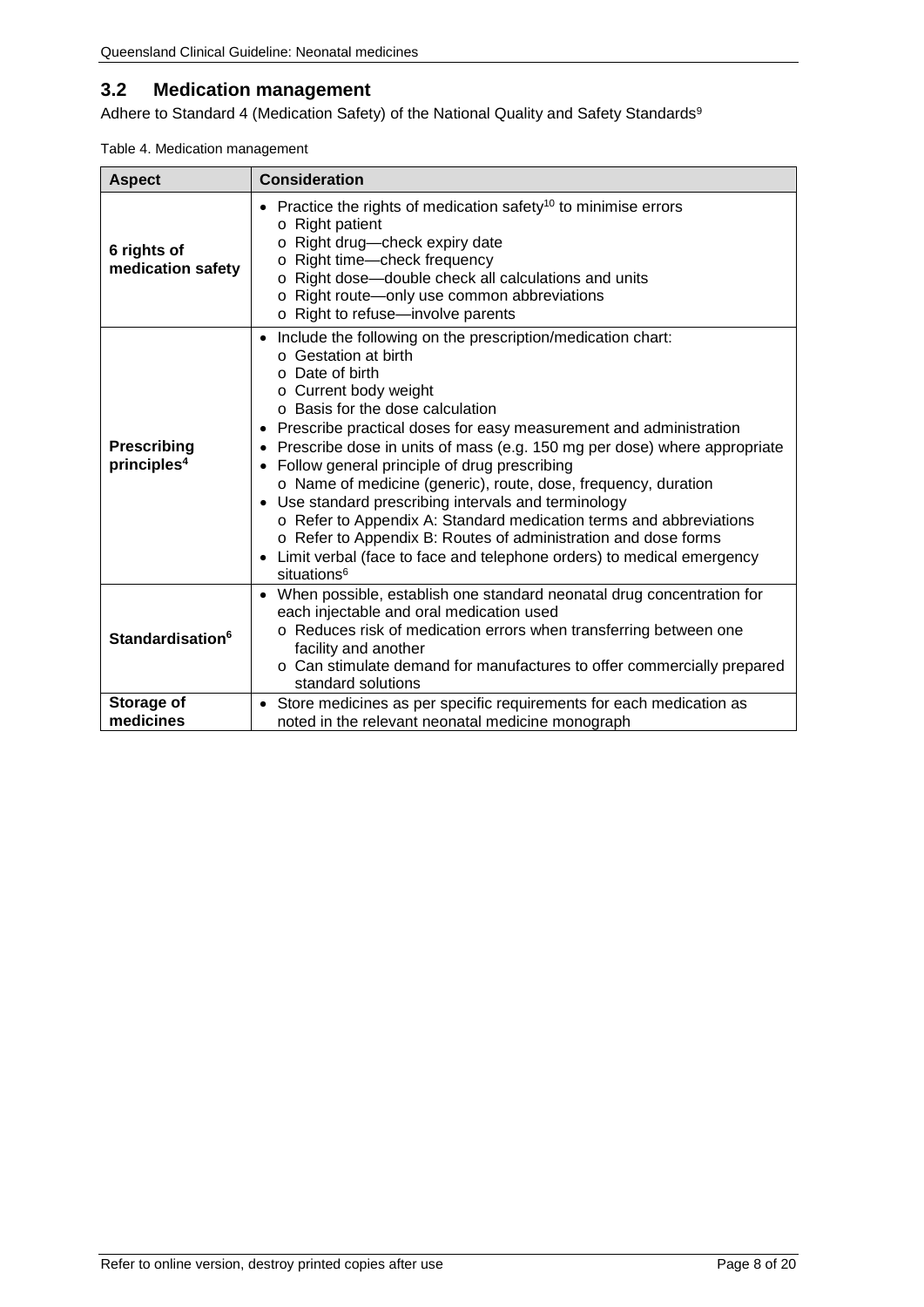## <span id="page-7-0"></span>**3.2 Medication management**

Adhere to Standard 4 (Medication Safety) of the National Quality and Safety Standards<sup>9</sup>

<span id="page-7-1"></span>

| Table 4. Medication management |
|--------------------------------|
|--------------------------------|

| <b>Aspect</b>                                 | <b>Consideration</b>                                                                                                                                                                                                                                                                                                                                                                                                                                                                                                                                                                                                                                                                                                                                                                                         |
|-----------------------------------------------|--------------------------------------------------------------------------------------------------------------------------------------------------------------------------------------------------------------------------------------------------------------------------------------------------------------------------------------------------------------------------------------------------------------------------------------------------------------------------------------------------------------------------------------------------------------------------------------------------------------------------------------------------------------------------------------------------------------------------------------------------------------------------------------------------------------|
| 6 rights of<br>medication safety              | Practice the rights of medication safety <sup>10</sup> to minimise errors<br>$\circ$ Right patient<br>Right drug-check expiry date<br>Right time-check frequency<br>O<br>o Right dose-double check all calculations and units<br>Right route-only use common abbreviations<br>o Right to refuse-involve parents                                                                                                                                                                                                                                                                                                                                                                                                                                                                                              |
| <b>Prescribing</b><br>principles <sup>4</sup> | Include the following on the prescription/medication chart:<br>$\bullet$<br>○ Gestation at birth<br>o Date of birth<br>o Current body weight<br>$\circ$ Basis for the dose calculation<br>Prescribe practical doses for easy measurement and administration<br>٠<br>Prescribe dose in units of mass (e.g. 150 mg per dose) where appropriate<br>٠<br>Follow general principle of drug prescribing<br>$\bullet$<br>o Name of medicine (generic), route, dose, frequency, duration<br>Use standard prescribing intervals and terminology<br>$\bullet$<br>o Refer to Appendix A: Standard medication terms and abbreviations<br>o Refer to Appendix B: Routes of administration and dose forms<br>Limit verbal (face to face and telephone orders) to medical emergency<br>$\bullet$<br>situations <sup>6</sup> |
| Standardisation <sup>6</sup>                  | When possible, establish one standard neonatal drug concentration for<br>$\bullet$<br>each injectable and oral medication used<br>o Reduces risk of medication errors when transferring between one<br>facility and another<br>o Can stimulate demand for manufactures to offer commercially prepared<br>standard solutions                                                                                                                                                                                                                                                                                                                                                                                                                                                                                  |
| Storage of<br>medicines                       | Store medicines as per specific requirements for each medication as<br>$\bullet$<br>noted in the relevant neonatal medicine monograph                                                                                                                                                                                                                                                                                                                                                                                                                                                                                                                                                                                                                                                                        |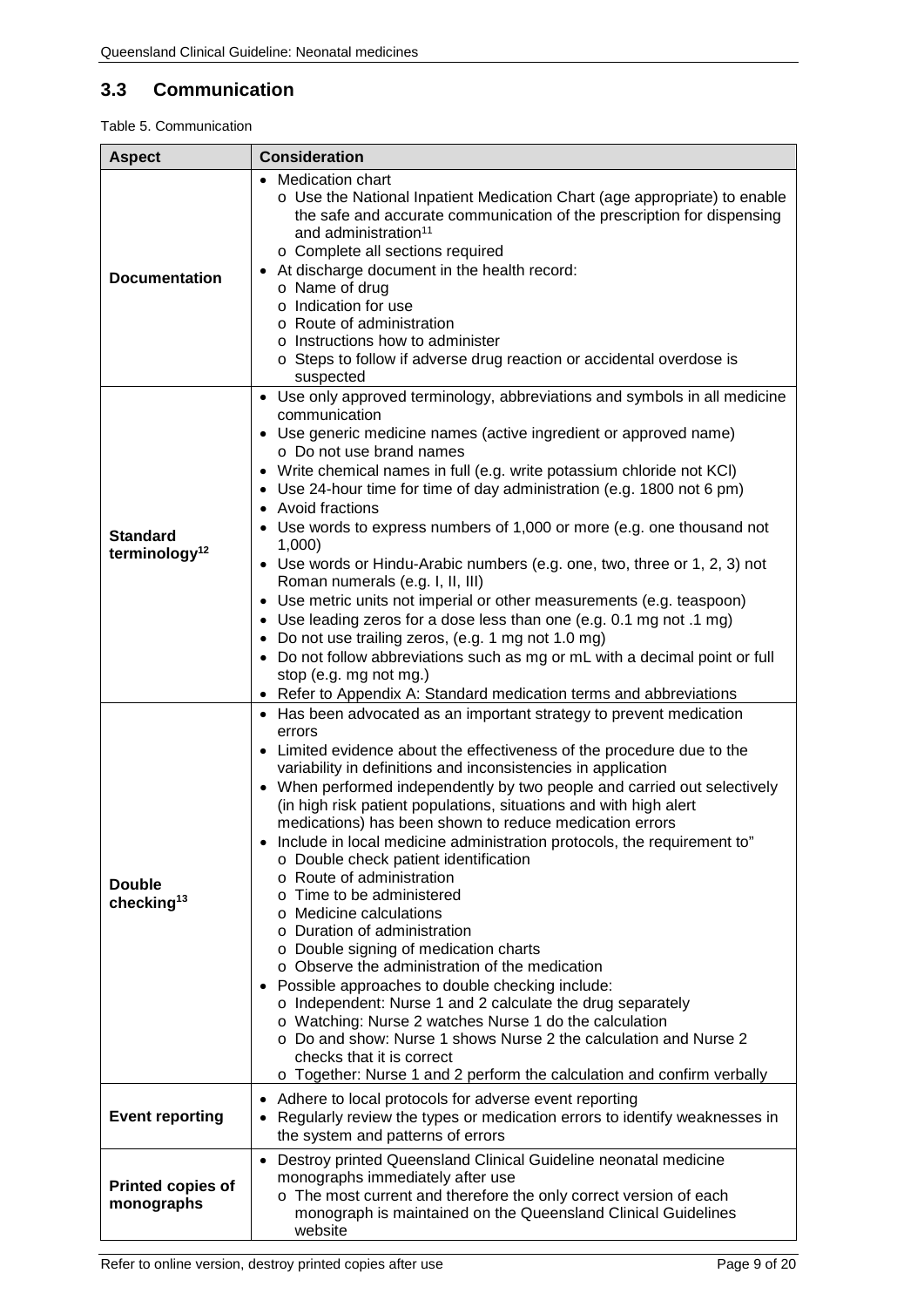# <span id="page-8-0"></span>**3.3 Communication**

#### <span id="page-8-1"></span>Table 5. Communication

 $\mathbf{r}$ 

| <b>Aspect</b>                                | <b>Consideration</b>                                                                                                                                                                                                                                                                                                                                                                                                                                                                                                                                                                                                                                                                                                                                                                                                                                                                                                                                                                                                                                                                                                                                    |
|----------------------------------------------|---------------------------------------------------------------------------------------------------------------------------------------------------------------------------------------------------------------------------------------------------------------------------------------------------------------------------------------------------------------------------------------------------------------------------------------------------------------------------------------------------------------------------------------------------------------------------------------------------------------------------------------------------------------------------------------------------------------------------------------------------------------------------------------------------------------------------------------------------------------------------------------------------------------------------------------------------------------------------------------------------------------------------------------------------------------------------------------------------------------------------------------------------------|
| <b>Documentation</b>                         | <b>Medication chart</b><br>o Use the National Inpatient Medication Chart (age appropriate) to enable<br>the safe and accurate communication of the prescription for dispensing<br>and administration <sup>11</sup><br>o Complete all sections required<br>At discharge document in the health record:<br>$\bullet$<br>o Name of drug<br>o Indication for use<br>o Route of administration<br>o Instructions how to administer<br>o Steps to follow if adverse drug reaction or accidental overdose is<br>suspected                                                                                                                                                                                                                                                                                                                                                                                                                                                                                                                                                                                                                                      |
| <b>Standard</b><br>terminology <sup>12</sup> | • Use only approved terminology, abbreviations and symbols in all medicine<br>communication<br>• Use generic medicine names (active ingredient or approved name)<br>o Do not use brand names<br>• Write chemical names in full (e.g. write potassium chloride not KCI)<br>Use 24-hour time for time of day administration (e.g. 1800 not 6 pm)<br>$\bullet$<br>Avoid fractions<br>• Use words to express numbers of 1,000 or more (e.g. one thousand not<br>1,000<br>• Use words or Hindu-Arabic numbers (e.g. one, two, three or 1, 2, 3) not<br>Roman numerals (e.g. I, II, III)<br>Use metric units not imperial or other measurements (e.g. teaspoon)<br>$\bullet$<br>Use leading zeros for a dose less than one (e.g. 0.1 mg not .1 mg)<br>$\bullet$<br>• Do not use trailing zeros, (e.g. 1 mg not 1.0 mg)<br>• Do not follow abbreviations such as mg or mL with a decimal point or full<br>stop (e.g. mg not mg.)<br>• Refer to Appendix A: Standard medication terms and abbreviations                                                                                                                                                         |
| <b>Double</b><br>checking <sup>13</sup>      | • Has been advocated as an important strategy to prevent medication<br>errors<br>• Limited evidence about the effectiveness of the procedure due to the<br>variability in definitions and inconsistencies in application<br>• When performed independently by two people and carried out selectively<br>(in high risk patient populations, situations and with high alert<br>medications) has been shown to reduce medication errors<br>Include in local medicine administration protocols, the requirement to"<br>o Double check patient identification<br>Route of administration<br>$\Omega$<br>Time to be administered<br>O<br>Medicine calculations<br>$\Omega$<br>o Duration of administration<br>o Double signing of medication charts<br>o Observe the administration of the medication<br>• Possible approaches to double checking include:<br>o Independent: Nurse 1 and 2 calculate the drug separately<br>o Watching: Nurse 2 watches Nurse 1 do the calculation<br>○ Do and show: Nurse 1 shows Nurse 2 the calculation and Nurse 2<br>checks that it is correct<br>o Together: Nurse 1 and 2 perform the calculation and confirm verbally |
| <b>Event reporting</b>                       | Adhere to local protocols for adverse event reporting<br>$\bullet$<br>Regularly review the types or medication errors to identify weaknesses in<br>$\bullet$<br>the system and patterns of errors                                                                                                                                                                                                                                                                                                                                                                                                                                                                                                                                                                                                                                                                                                                                                                                                                                                                                                                                                       |
| <b>Printed copies of</b><br>monographs       | Destroy printed Queensland Clinical Guideline neonatal medicine<br>$\bullet$<br>monographs immediately after use<br>o The most current and therefore the only correct version of each<br>monograph is maintained on the Queensland Clinical Guidelines<br>website                                                                                                                                                                                                                                                                                                                                                                                                                                                                                                                                                                                                                                                                                                                                                                                                                                                                                       |

 $\overline{\phantom{a}}$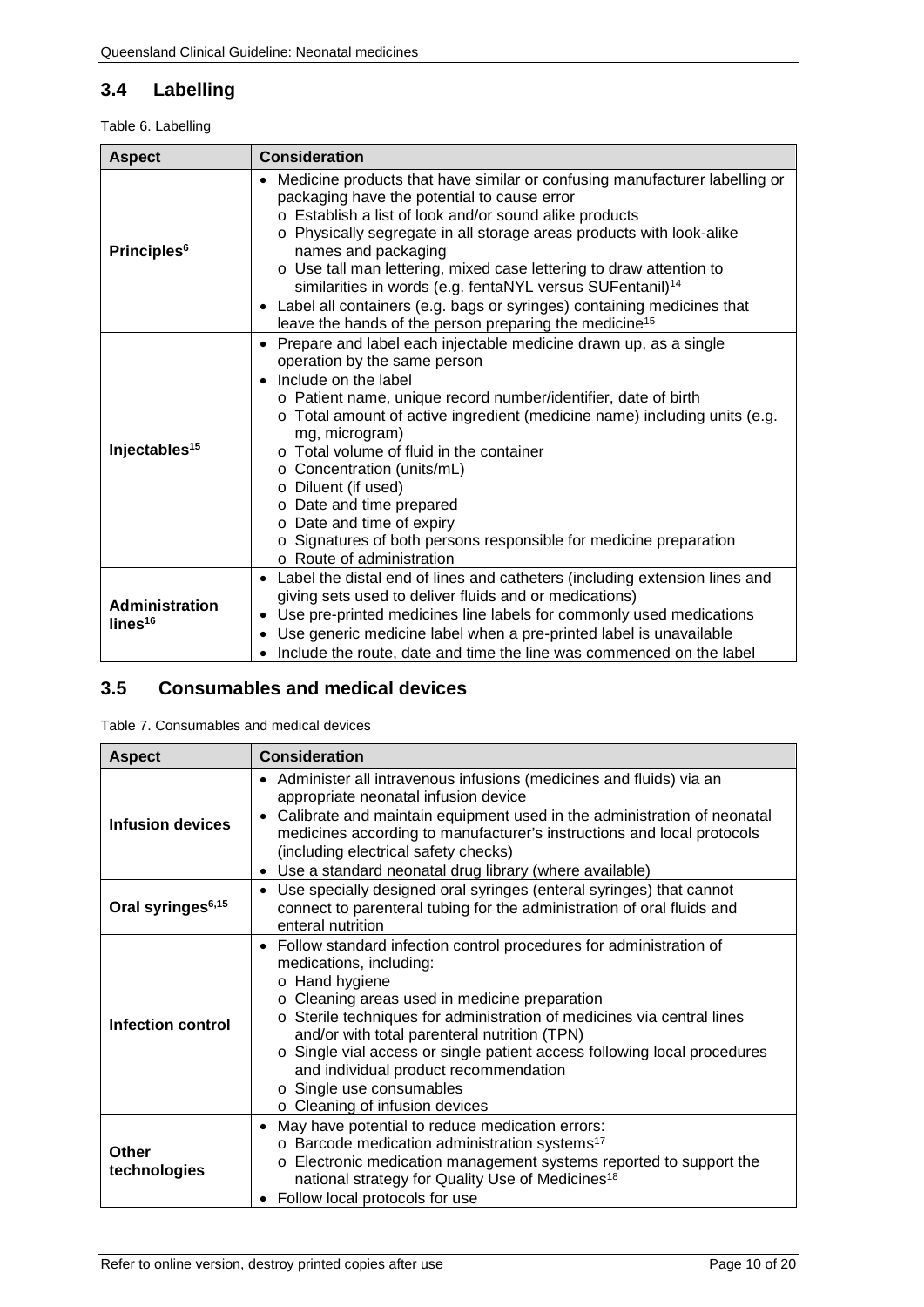# <span id="page-9-0"></span>**3.4 Labelling**

#### <span id="page-9-2"></span>Table 6. Labelling

| <b>Aspect</b>                                | <b>Consideration</b>                                                                                                                                                                                                                                                                                                                                                                                                                                                                                                                                                                              |  |
|----------------------------------------------|---------------------------------------------------------------------------------------------------------------------------------------------------------------------------------------------------------------------------------------------------------------------------------------------------------------------------------------------------------------------------------------------------------------------------------------------------------------------------------------------------------------------------------------------------------------------------------------------------|--|
| <b>Principles<sup>6</sup></b>                | Medicine products that have similar or confusing manufacturer labelling or<br>$\bullet$<br>packaging have the potential to cause error<br>o Establish a list of look and/or sound alike products<br>o Physically segregate in all storage areas products with look-alike<br>names and packaging<br>o Use tall man lettering, mixed case lettering to draw attention to<br>similarities in words (e.g. fentaNYL versus SUFentanil) <sup>14</sup><br>• Label all containers (e.g. bags or syringes) containing medicines that<br>leave the hands of the person preparing the medicine <sup>15</sup> |  |
| Injectables <sup>15</sup>                    | Prepare and label each injectable medicine drawn up, as a single<br>$\bullet$<br>operation by the same person<br>Include on the label<br>$\bullet$<br>o Patient name, unique record number/identifier, date of birth<br>o Total amount of active ingredient (medicine name) including units (e.g.<br>mg, microgram)<br>$\circ$ Total volume of fluid in the container<br>o Concentration (units/mL)<br>o Diluent (if used)<br>o Date and time prepared<br>o Date and time of expiry<br>o Signatures of both persons responsible for medicine preparation<br>$\circ$ Route of administration       |  |
| <b>Administration</b><br>lines <sup>16</sup> | • Label the distal end of lines and catheters (including extension lines and<br>giving sets used to deliver fluids and or medications)<br>Use pre-printed medicines line labels for commonly used medications<br>٠<br>Use generic medicine label when a pre-printed label is unavailable<br>$\bullet$<br>Include the route, date and time the line was commenced on the label                                                                                                                                                                                                                     |  |

### <span id="page-9-1"></span>**3.5 Consumables and medical devices**

<span id="page-9-3"></span>Table 7. Consumables and medical devices

| <b>Aspect</b>                 | <b>Consideration</b>                                                                                                                                                                                                                                                                                                                                                                                                                                                            |  |
|-------------------------------|---------------------------------------------------------------------------------------------------------------------------------------------------------------------------------------------------------------------------------------------------------------------------------------------------------------------------------------------------------------------------------------------------------------------------------------------------------------------------------|--|
| Infusion devices              | • Administer all intravenous infusions (medicines and fluids) via an<br>appropriate neonatal infusion device<br>Calibrate and maintain equipment used in the administration of neonatal<br>$\bullet$<br>medicines according to manufacturer's instructions and local protocols<br>(including electrical safety checks)<br>Use a standard neonatal drug library (where available)                                                                                                |  |
| Oral syringes <sup>6,15</sup> | Use specially designed oral syringes (enteral syringes) that cannot<br>$\bullet$<br>connect to parenteral tubing for the administration of oral fluids and<br>enteral nutrition                                                                                                                                                                                                                                                                                                 |  |
| <b>Infection control</b>      | • Follow standard infection control procedures for administration of<br>medications, including:<br>o Hand hygiene<br>o Cleaning areas used in medicine preparation<br>o Sterile techniques for administration of medicines via central lines<br>and/or with total parenteral nutrition (TPN)<br>o Single vial access or single patient access following local procedures<br>and individual product recommendation<br>o Single use consumables<br>o Cleaning of infusion devices |  |
| Other<br>technologies         | May have potential to reduce medication errors:<br>$\bullet$<br>o Barcode medication administration systems <sup>17</sup><br>Electronic medication management systems reported to support the<br>$\circ$<br>national strategy for Quality Use of Medicines <sup>18</sup><br>Follow local protocols for use                                                                                                                                                                      |  |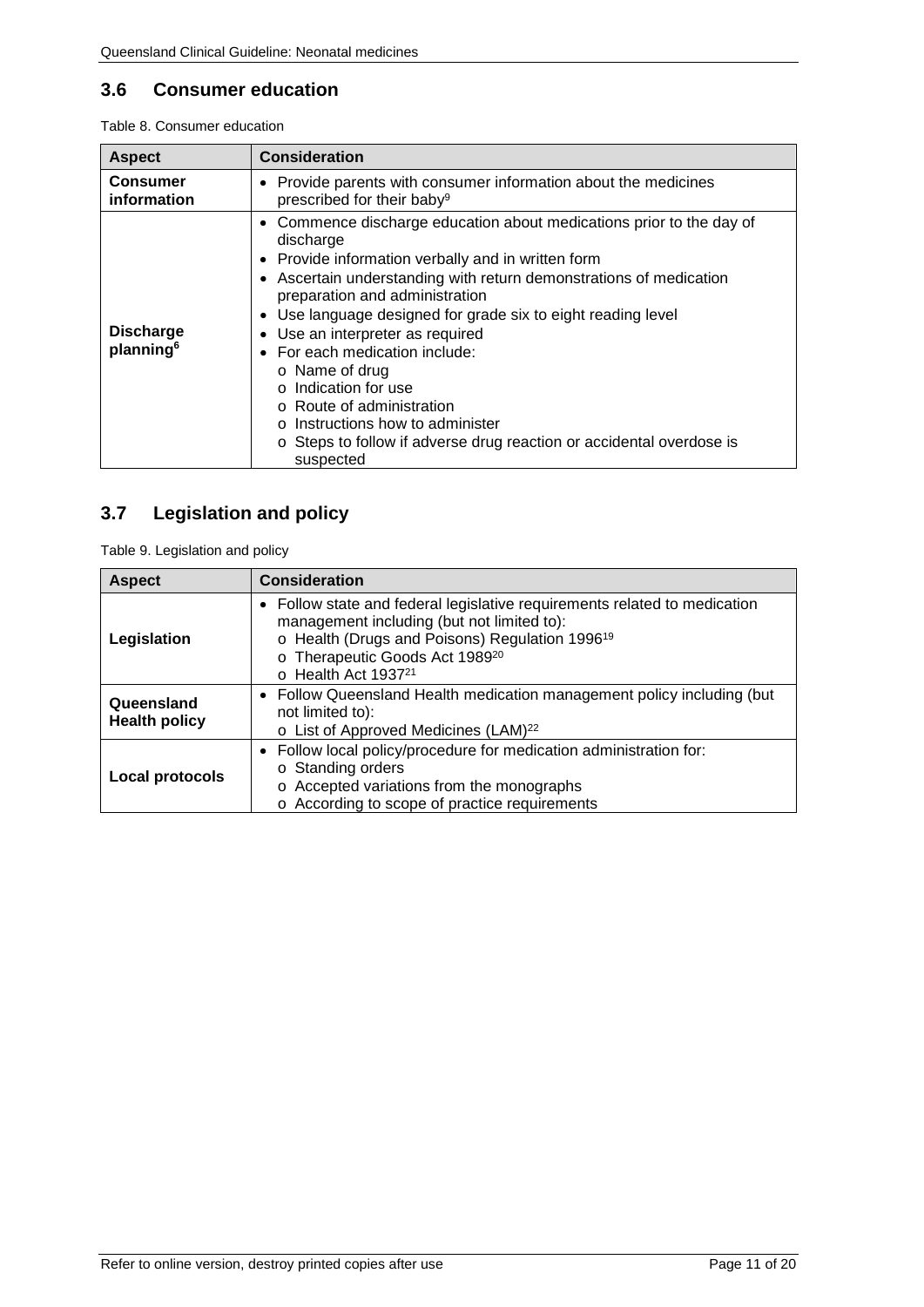### <span id="page-10-0"></span>**3.6 Consumer education**

<span id="page-10-2"></span>Table 8. Consumer education

| <b>Aspect</b>                             | <b>Consideration</b>                                                                                                                                                                                                                                                                                                                                                                                                                                                                                                                                                                                                                          |  |
|-------------------------------------------|-----------------------------------------------------------------------------------------------------------------------------------------------------------------------------------------------------------------------------------------------------------------------------------------------------------------------------------------------------------------------------------------------------------------------------------------------------------------------------------------------------------------------------------------------------------------------------------------------------------------------------------------------|--|
| <b>Consumer</b><br>information            | • Provide parents with consumer information about the medicines<br>prescribed for their baby <sup>9</sup>                                                                                                                                                                                                                                                                                                                                                                                                                                                                                                                                     |  |
| <b>Discharge</b><br>planning <sup>6</sup> | Commence discharge education about medications prior to the day of<br>$\bullet$<br>discharge<br>• Provide information verbally and in written form<br>• Ascertain understanding with return demonstrations of medication<br>preparation and administration<br>Use language designed for grade six to eight reading level<br>$\bullet$<br>Use an interpreter as required<br>$\bullet$<br>For each medication include:<br>$\bullet$<br>$\circ$ Name of drug<br>o Indication for use<br>○ Route of administration<br>$\circ$ Instructions how to administer<br>o Steps to follow if adverse drug reaction or accidental overdose is<br>suspected |  |

# <span id="page-10-1"></span>**3.7 Legislation and policy**

<span id="page-10-3"></span>Table 9. Legislation and policy

| <b>Aspect</b>                      | <b>Consideration</b>                                                                                                                                                                                                                                             |
|------------------------------------|------------------------------------------------------------------------------------------------------------------------------------------------------------------------------------------------------------------------------------------------------------------|
| Legislation                        | • Follow state and federal legislative requirements related to medication<br>management including (but not limited to):<br>o Health (Drugs and Poisons) Regulation 1996 <sup>19</sup><br>o Therapeutic Goods Act 198920<br>$\circ$ Health Act 1937 <sup>21</sup> |
| Queensland<br><b>Health policy</b> | • Follow Queensland Health medication management policy including (but<br>not limited to):<br>o List of Approved Medicines (LAM) <sup>22</sup>                                                                                                                   |
| Local protocols                    | • Follow local policy/procedure for medication administration for:<br>○ Standing orders<br>o Accepted variations from the monographs<br>o According to scope of practice requirements                                                                            |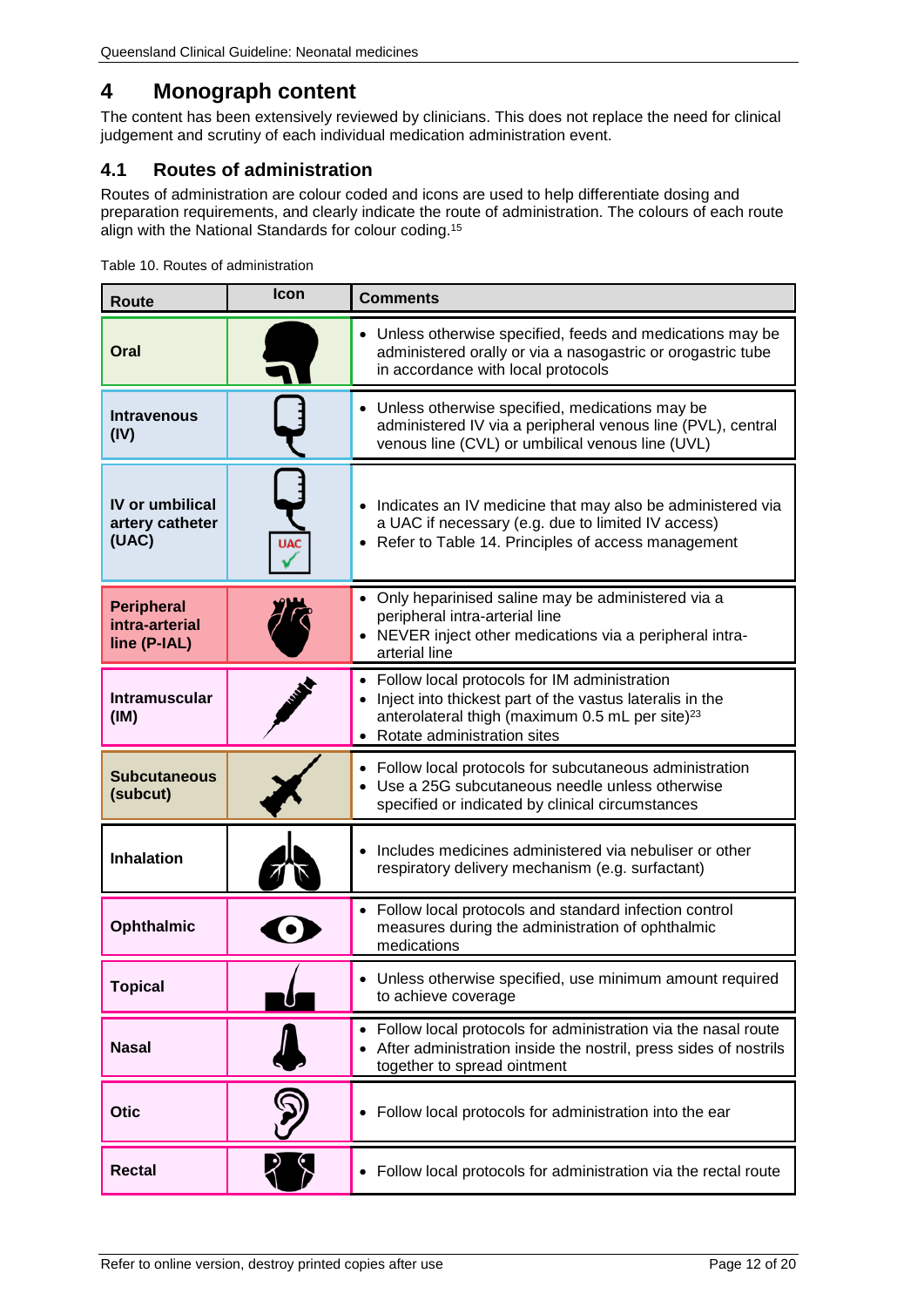# <span id="page-11-0"></span>**4 Monograph content**

The content has been extensively reviewed by clinicians. This does not replace the need for clinical judgement and scrutiny of each individual medication administration event.

# <span id="page-11-1"></span>**4.1 Routes of administration**

Routes of administration are colour coded and icons are used to help differentiate dosing and preparation requirements, and clearly indicate the route of administration. The colours of each route align with the National Standards for colour coding. 15

<span id="page-11-2"></span>

|  | Table 10. Routes of administration |
|--|------------------------------------|
|--|------------------------------------|

| Route                                               | Icon       | <b>Comments</b>                                                                                                                                                                                          |
|-----------------------------------------------------|------------|----------------------------------------------------------------------------------------------------------------------------------------------------------------------------------------------------------|
| Oral                                                |            | • Unless otherwise specified, feeds and medications may be<br>administered orally or via a nasogastric or orogastric tube<br>in accordance with local protocols                                          |
| <b>Intravenous</b><br>(IV)                          |            | • Unless otherwise specified, medications may be<br>administered IV via a peripheral venous line (PVL), central<br>venous line (CVL) or umbilical venous line (UVL)                                      |
| <b>IV or umbilical</b><br>artery catheter<br>(UAC)  | <b>UAC</b> | • Indicates an IV medicine that may also be administered via<br>a UAC if necessary (e.g. due to limited IV access)<br>• Refer to Table 14. Principles of access management                               |
| <b>Peripheral</b><br>intra-arterial<br>line (P-IAL) |            | • Only heparinised saline may be administered via a<br>peripheral intra-arterial line<br>NEVER inject other medications via a peripheral intra-<br>arterial line                                         |
| <b>Intramuscular</b><br>(IM)                        |            | • Follow local protocols for IM administration<br>Inject into thickest part of the vastus lateralis in the<br>anterolateral thigh (maximum 0.5 mL per site) <sup>23</sup><br>Rotate administration sites |
| <b>Subcutaneous</b><br>(subcut)                     |            | • Follow local protocols for subcutaneous administration<br>Use a 25G subcutaneous needle unless otherwise<br>specified or indicated by clinical circumstances                                           |
| <b>Inhalation</b>                                   |            | Includes medicines administered via nebuliser or other<br>respiratory delivery mechanism (e.g. surfactant)                                                                                               |
| <b>Ophthalmic</b>                                   |            | • Follow local protocols and standard infection control<br>measures during the administration of ophthalmic<br>medications                                                                               |
| <b>Topical</b>                                      |            | Unless otherwise specified, use minimum amount required<br>to achieve coverage                                                                                                                           |
| <b>Nasal</b>                                        |            | • Follow local protocols for administration via the nasal route<br>After administration inside the nostril, press sides of nostrils<br>together to spread ointment                                       |
| <b>Otic</b>                                         |            | • Follow local protocols for administration into the ear                                                                                                                                                 |
| <b>Rectal</b>                                       |            | Follow local protocols for administration via the rectal route<br>$\bullet$                                                                                                                              |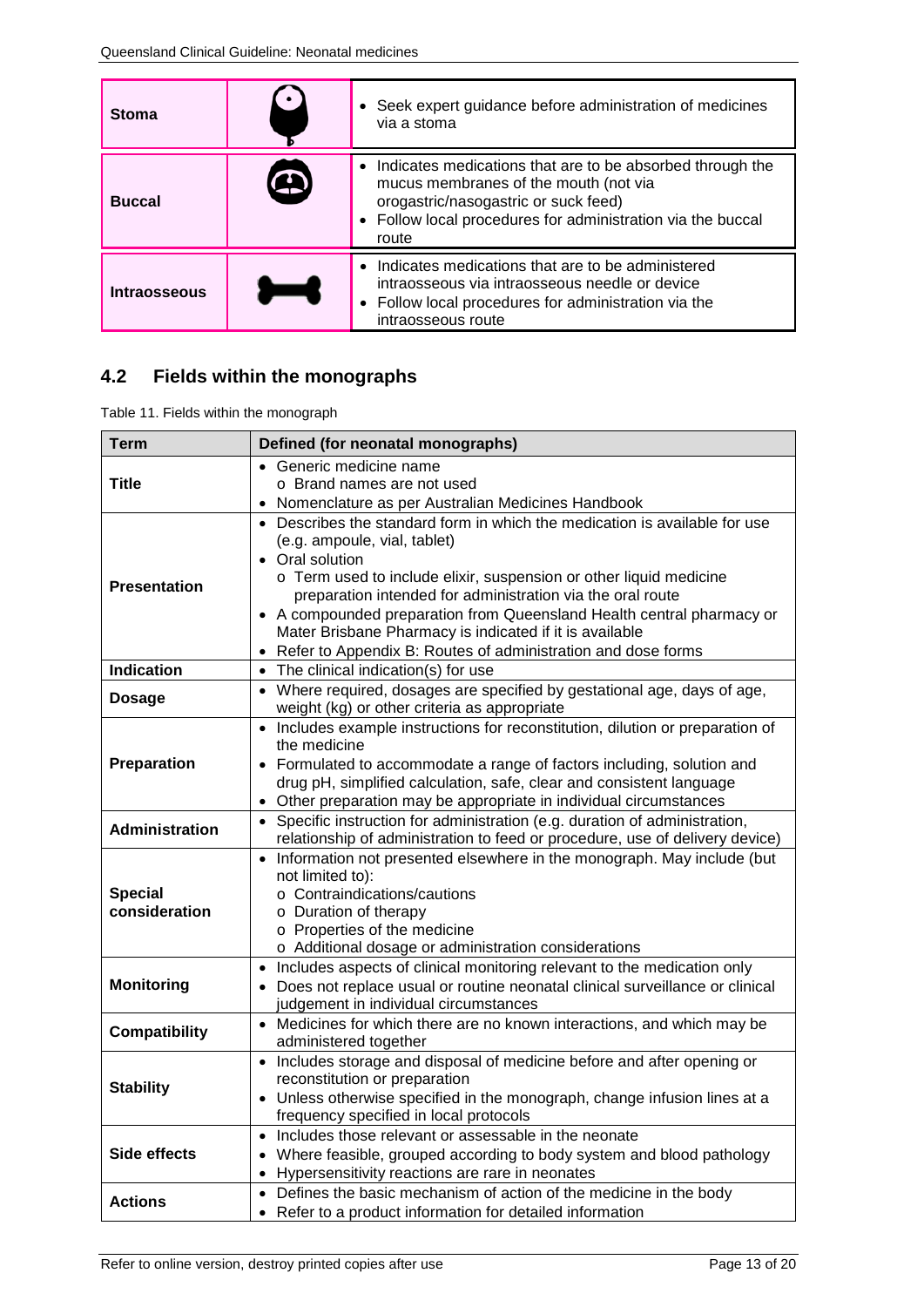| <b>Stoma</b>  | • Seek expert guidance before administration of medicines<br>via a stoma                                                                                                                                             |
|---------------|----------------------------------------------------------------------------------------------------------------------------------------------------------------------------------------------------------------------|
| <b>Buccal</b> | • Indicates medications that are to be absorbed through the<br>mucus membranes of the mouth (not via<br>orogastric/nasogastric or suck feed)<br>• Follow local procedures for administration via the buccal<br>route |
| Intraosseous  | • Indicates medications that are to be administered<br>intraosseous via intraosseous needle or device<br>• Follow local procedures for administration via the<br>intraosseous route                                  |

# <span id="page-12-0"></span>**4.2 Fields within the monographs**

<span id="page-12-1"></span>Table 11. Fields within the monograph

| <b>Term</b>                     | Defined (for neonatal monographs)                                                                                                                                                                                                                                                                                                                                                                                                                                   |  |
|---------------------------------|---------------------------------------------------------------------------------------------------------------------------------------------------------------------------------------------------------------------------------------------------------------------------------------------------------------------------------------------------------------------------------------------------------------------------------------------------------------------|--|
| Title                           | Generic medicine name<br>o Brand names are not used<br>Nomenclature as per Australian Medicines Handbook<br>$\bullet$                                                                                                                                                                                                                                                                                                                                               |  |
| <b>Presentation</b>             | • Describes the standard form in which the medication is available for use<br>(e.g. ampoule, vial, tablet)<br>• Oral solution<br>o Term used to include elixir, suspension or other liquid medicine<br>preparation intended for administration via the oral route<br>A compounded preparation from Queensland Health central pharmacy or<br>Mater Brisbane Pharmacy is indicated if it is available<br>Refer to Appendix B: Routes of administration and dose forms |  |
| <b>Indication</b>               | The clinical indication(s) for use                                                                                                                                                                                                                                                                                                                                                                                                                                  |  |
| <b>Dosage</b>                   | Where required, dosages are specified by gestational age, days of age,<br>weight (kg) or other criteria as appropriate                                                                                                                                                                                                                                                                                                                                              |  |
| Preparation                     | • Includes example instructions for reconstitution, dilution or preparation of<br>the medicine<br>Formulated to accommodate a range of factors including, solution and<br>drug pH, simplified calculation, safe, clear and consistent language<br>Other preparation may be appropriate in individual circumstances<br>$\bullet$                                                                                                                                     |  |
| <b>Administration</b>           | Specific instruction for administration (e.g. duration of administration,<br>$\bullet$<br>relationship of administration to feed or procedure, use of delivery device)                                                                                                                                                                                                                                                                                              |  |
| <b>Special</b><br>consideration | Information not presented elsewhere in the monograph. May include (but<br>$\bullet$<br>not limited to):<br>o Contraindications/cautions<br>o Duration of therapy<br>o Properties of the medicine<br>o Additional dosage or administration considerations                                                                                                                                                                                                            |  |
| <b>Monitoring</b>               | Includes aspects of clinical monitoring relevant to the medication only<br>Does not replace usual or routine neonatal clinical surveillance or clinical<br>judgement in individual circumstances                                                                                                                                                                                                                                                                    |  |
| <b>Compatibility</b>            | • Medicines for which there are no known interactions, and which may be<br>administered together                                                                                                                                                                                                                                                                                                                                                                    |  |
| <b>Stability</b>                | Includes storage and disposal of medicine before and after opening or<br>$\bullet$<br>reconstitution or preparation<br>Unless otherwise specified in the monograph, change infusion lines at a<br>frequency specified in local protocols                                                                                                                                                                                                                            |  |
| <b>Side effects</b>             | Includes those relevant or assessable in the neonate<br>Where feasible, grouped according to body system and blood pathology<br>$\bullet$<br>Hypersensitivity reactions are rare in neonates<br>$\bullet$                                                                                                                                                                                                                                                           |  |
| <b>Actions</b>                  | Defines the basic mechanism of action of the medicine in the body<br>$\bullet$<br>• Refer to a product information for detailed information                                                                                                                                                                                                                                                                                                                         |  |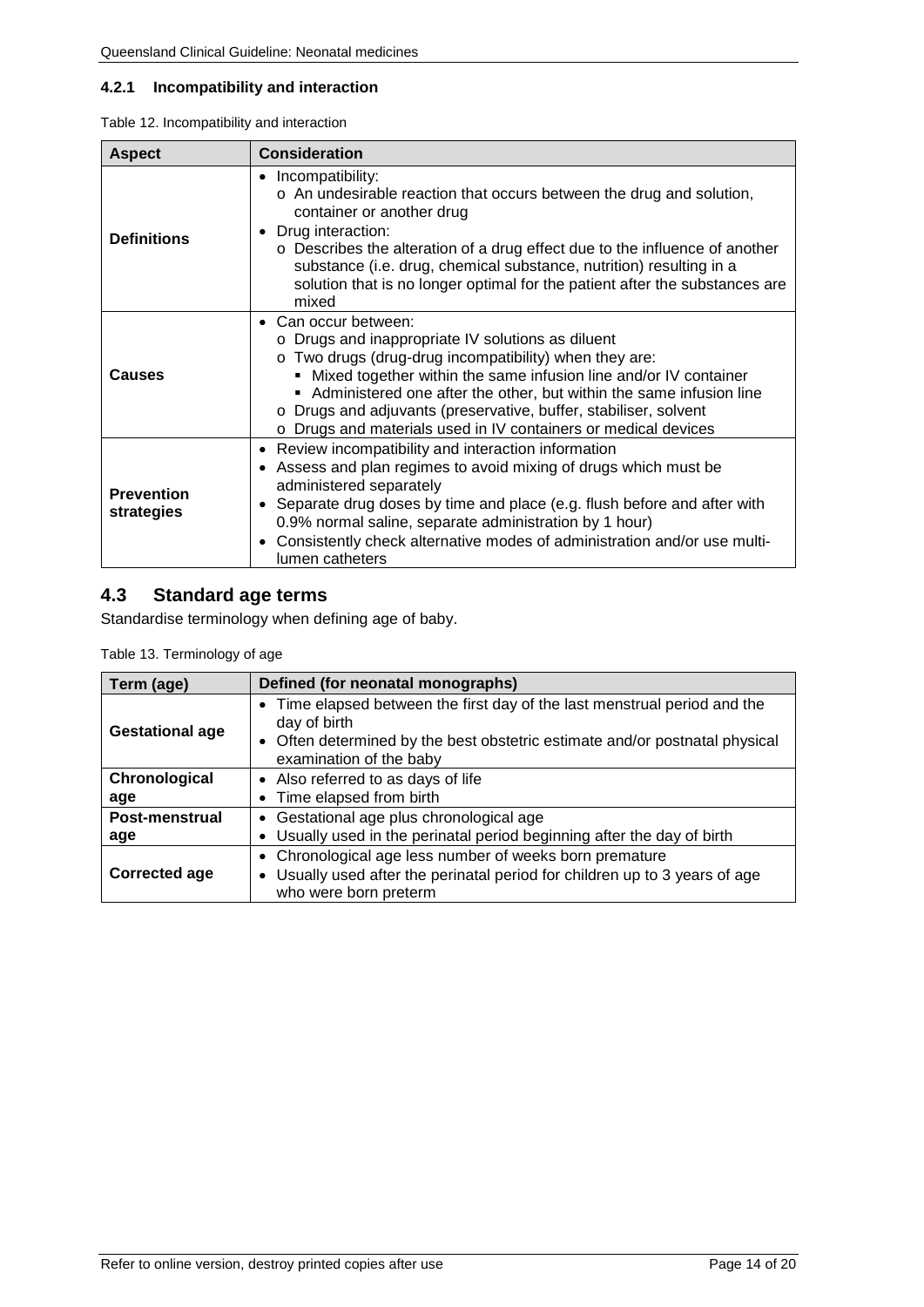### <span id="page-13-0"></span>**4.2.1 Incompatibility and interaction**

<span id="page-13-2"></span>

|  |  | Table 12. Incompatibility and interaction |
|--|--|-------------------------------------------|
|--|--|-------------------------------------------|

| <b>Aspect</b>                   | <b>Consideration</b>                                                                                                                                                                                                                                                                                                                                                                                                                    |  |
|---------------------------------|-----------------------------------------------------------------------------------------------------------------------------------------------------------------------------------------------------------------------------------------------------------------------------------------------------------------------------------------------------------------------------------------------------------------------------------------|--|
| <b>Definitions</b>              | • Incompatibility:<br>o An undesirable reaction that occurs between the drug and solution,<br>container or another drug<br>• Drug interaction:<br>o Describes the alteration of a drug effect due to the influence of another<br>substance (i.e. drug, chemical substance, nutrition) resulting in a<br>solution that is no longer optimal for the patient after the substances are<br>mixed                                            |  |
| Causes                          | • Can occur between:<br>o Drugs and inappropriate IV solutions as diluent<br>o Two drugs (drug-drug incompatibility) when they are:<br>Mixed together within the same infusion line and/or IV container<br>Administered one after the other, but within the same infusion line<br>Drugs and adjuvants (preservative, buffer, stabiliser, solvent<br>$\circ$<br>Drugs and materials used in IV containers or medical devices<br>$\Omega$ |  |
| <b>Prevention</b><br>strategies | • Review incompatibility and interaction information<br>Assess and plan regimes to avoid mixing of drugs which must be<br>$\bullet$<br>administered separately<br>Separate drug doses by time and place (e.g. flush before and after with<br>$\bullet$<br>0.9% normal saline, separate administration by 1 hour)<br>Consistently check alternative modes of administration and/or use multi-<br>$\bullet$<br>lumen catheters            |  |

# <span id="page-13-1"></span>**4.3 Standard age terms**

<span id="page-13-3"></span>Standardise terminology when defining age of baby.

Table 13. Terminology of age

| Term (age)             | Defined (for neonatal monographs)                                                                                                                                                                   |
|------------------------|-----------------------------------------------------------------------------------------------------------------------------------------------------------------------------------------------------|
| <b>Gestational age</b> | • Time elapsed between the first day of the last menstrual period and the<br>day of birth<br>• Often determined by the best obstetric estimate and/or postnatal physical<br>examination of the baby |
| Chronological<br>age   | • Also referred to as days of life<br>Time elapsed from birth                                                                                                                                       |
| Post-menstrual<br>age  | • Gestational age plus chronological age<br>• Usually used in the perinatal period beginning after the day of birth                                                                                 |
| Corrected age          | • Chronological age less number of weeks born premature<br>Usually used after the perinatal period for children up to 3 years of age<br>$\bullet$<br>who were born preterm                          |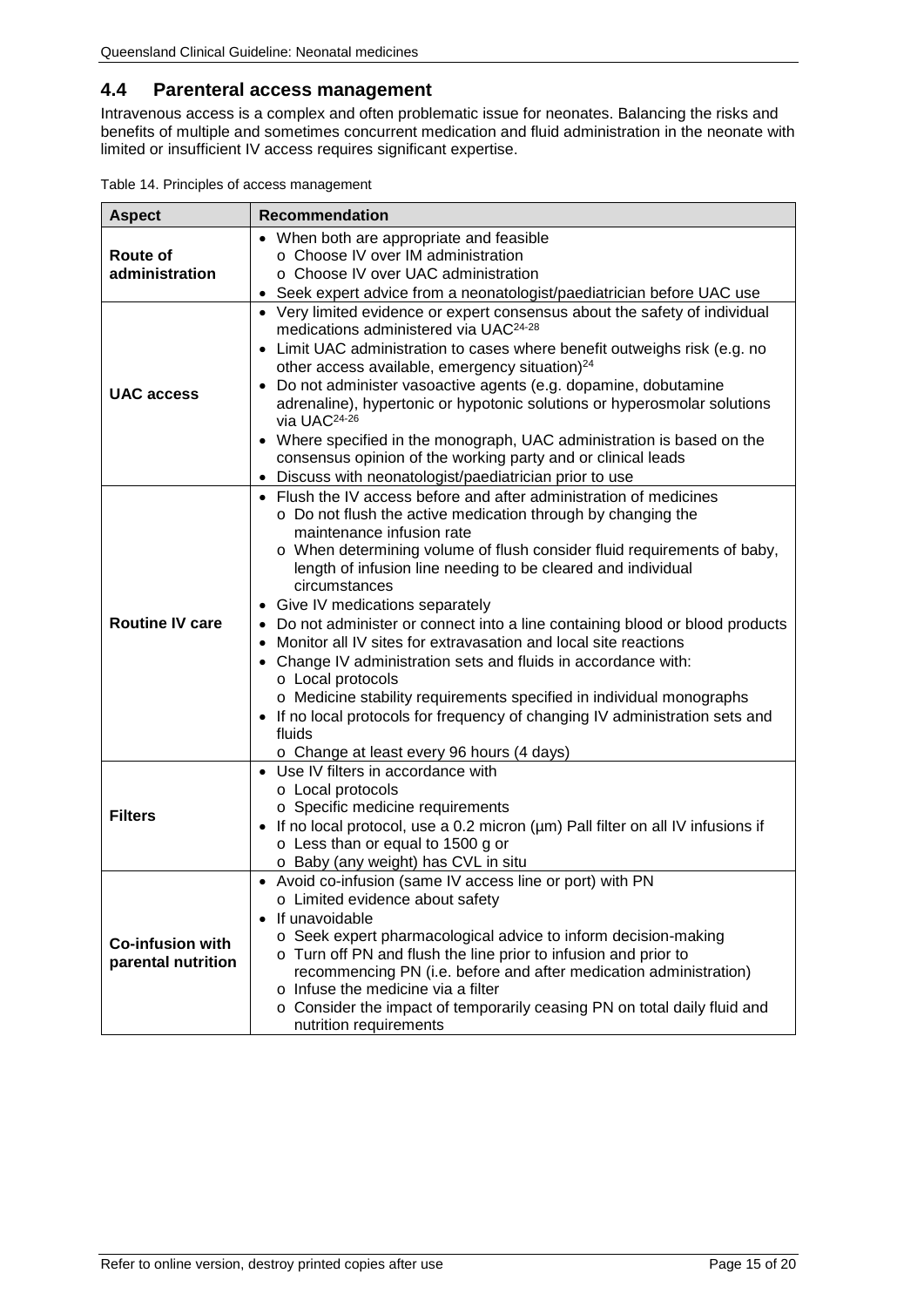### <span id="page-14-0"></span>**4.4 Parenteral access management**

Intravenous access is a complex and often problematic issue for neonates. Balancing the risks and benefits of multiple and sometimes concurrent medication and fluid administration in the neonate with limited or insufficient IV access requires significant expertise.

<span id="page-14-1"></span>

| <b>Aspect</b>                                 | <b>Recommendation</b>                                                                                                                                                                                                                                                                                                                                                                                                                                                                                                                                                                                                                                                                                                                                                                                                                                                 |  |
|-----------------------------------------------|-----------------------------------------------------------------------------------------------------------------------------------------------------------------------------------------------------------------------------------------------------------------------------------------------------------------------------------------------------------------------------------------------------------------------------------------------------------------------------------------------------------------------------------------------------------------------------------------------------------------------------------------------------------------------------------------------------------------------------------------------------------------------------------------------------------------------------------------------------------------------|--|
| Route of<br>administration                    | • When both are appropriate and feasible<br>o Choose IV over IM administration<br>o Choose IV over UAC administration<br>• Seek expert advice from a neonatologist/paediatrician before UAC use                                                                                                                                                                                                                                                                                                                                                                                                                                                                                                                                                                                                                                                                       |  |
| <b>UAC</b> access                             | • Very limited evidence or expert consensus about the safety of individual<br>medications administered via UAC <sup>24-28</sup><br>Limit UAC administration to cases where benefit outweighs risk (e.g. no<br>$\bullet$<br>other access available, emergency situation) <sup>24</sup><br>Do not administer vasoactive agents (e.g. dopamine, dobutamine<br>$\bullet$<br>adrenaline), hypertonic or hypotonic solutions or hyperosmolar solutions<br>via UAC <sup>24-26</sup><br>Where specified in the monograph, UAC administration is based on the<br>$\bullet$<br>consensus opinion of the working party and or clinical leads<br>Discuss with neonatologist/paediatrician prior to use                                                                                                                                                                            |  |
| <b>Routine IV care</b>                        | Flush the IV access before and after administration of medicines<br>$\bullet$<br>o Do not flush the active medication through by changing the<br>maintenance infusion rate<br>o When determining volume of flush consider fluid requirements of baby,<br>length of infusion line needing to be cleared and individual<br>circumstances<br>Give IV medications separately<br>Do not administer or connect into a line containing blood or blood products<br>$\bullet$<br>Monitor all IV sites for extravasation and local site reactions<br>$\bullet$<br>Change IV administration sets and fluids in accordance with:<br>$\bullet$<br>o Local protocols<br>o Medicine stability requirements specified in individual monographs<br>• If no local protocols for frequency of changing IV administration sets and<br>fluids<br>o Change at least every 96 hours (4 days) |  |
| <b>Filters</b>                                | • Use IV filters in accordance with<br>o Local protocols<br>o Specific medicine requirements<br>• If no local protocol, use a 0.2 micron (µm) Pall filter on all IV infusions if<br>o Less than or equal to 1500 g or<br>o Baby (any weight) has CVL in situ                                                                                                                                                                                                                                                                                                                                                                                                                                                                                                                                                                                                          |  |
| <b>Co-infusion with</b><br>parental nutrition | • Avoid co-infusion (same IV access line or port) with PN<br>o Limited evidence about safety<br>• If unavoidable<br>o Seek expert pharmacological advice to inform decision-making<br>o Turn off PN and flush the line prior to infusion and prior to<br>recommencing PN (i.e. before and after medication administration)<br>o Infuse the medicine via a filter<br>o Consider the impact of temporarily ceasing PN on total daily fluid and<br>nutrition requirements                                                                                                                                                                                                                                                                                                                                                                                                |  |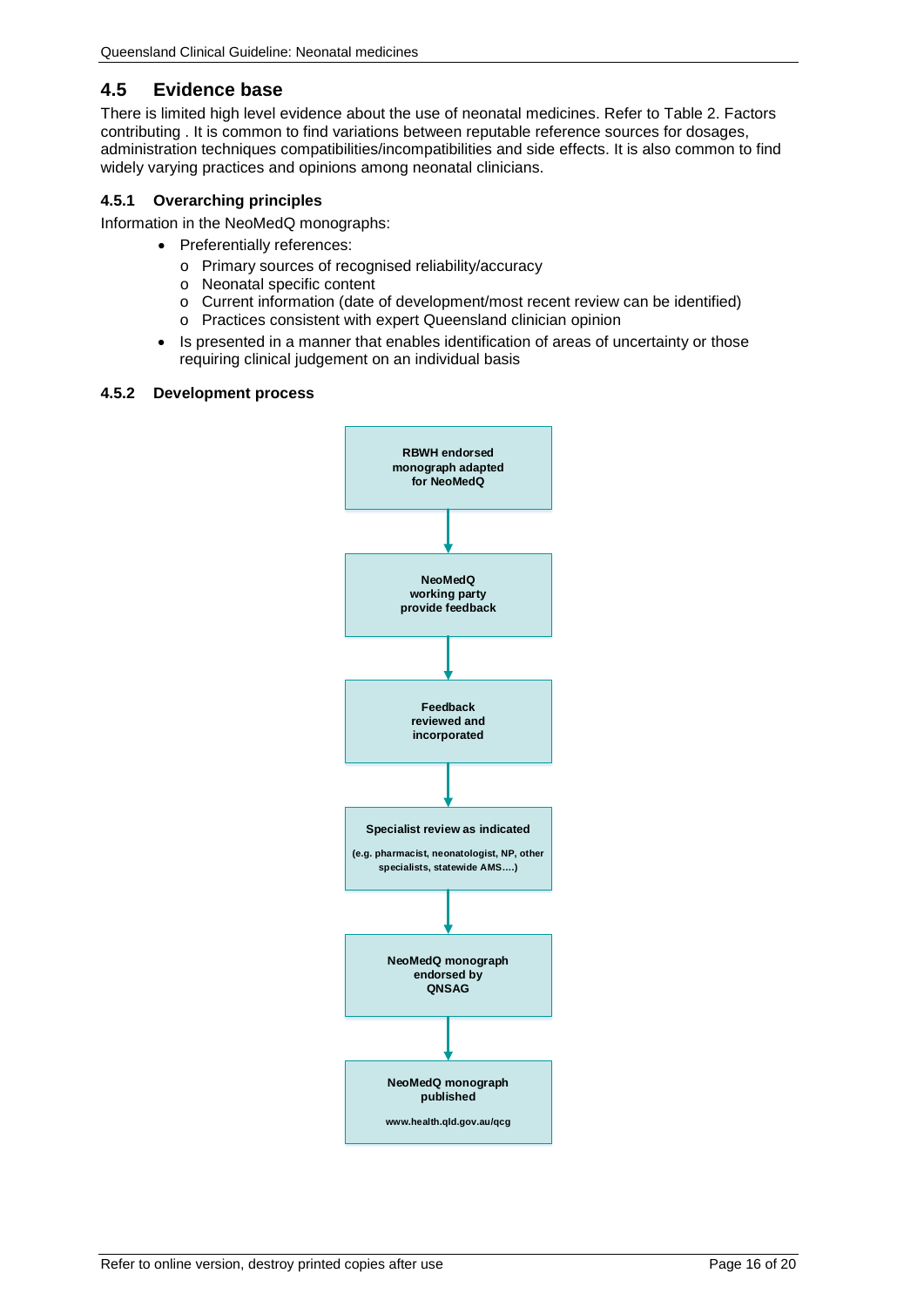### <span id="page-15-0"></span>**4.5 Evidence base**

There is limited high level evidence about the use of neonatal medicines. Refer to [Table 2. Factors](#page-5-1)  [contributing .](#page-5-1) It is common to find variations between reputable reference sources for dosages, administration techniques compatibilities/incompatibilities and side effects. It is also common to find widely varying practices and opinions among neonatal clinicians.

### <span id="page-15-1"></span>**4.5.1 Overarching principles**

Information in the NeoMedQ monographs:

- Preferentially references:
	- o Primary sources of recognised reliability/accuracy
	- o Neonatal specific content
	- o Current information (date of development/most recent review can be identified)
	- o Practices consistent with expert Queensland clinician opinion
- Is presented in a manner that enables identification of areas of uncertainty or those requiring clinical judgement on an individual basis

### <span id="page-15-2"></span>**4.5.2 Development process**

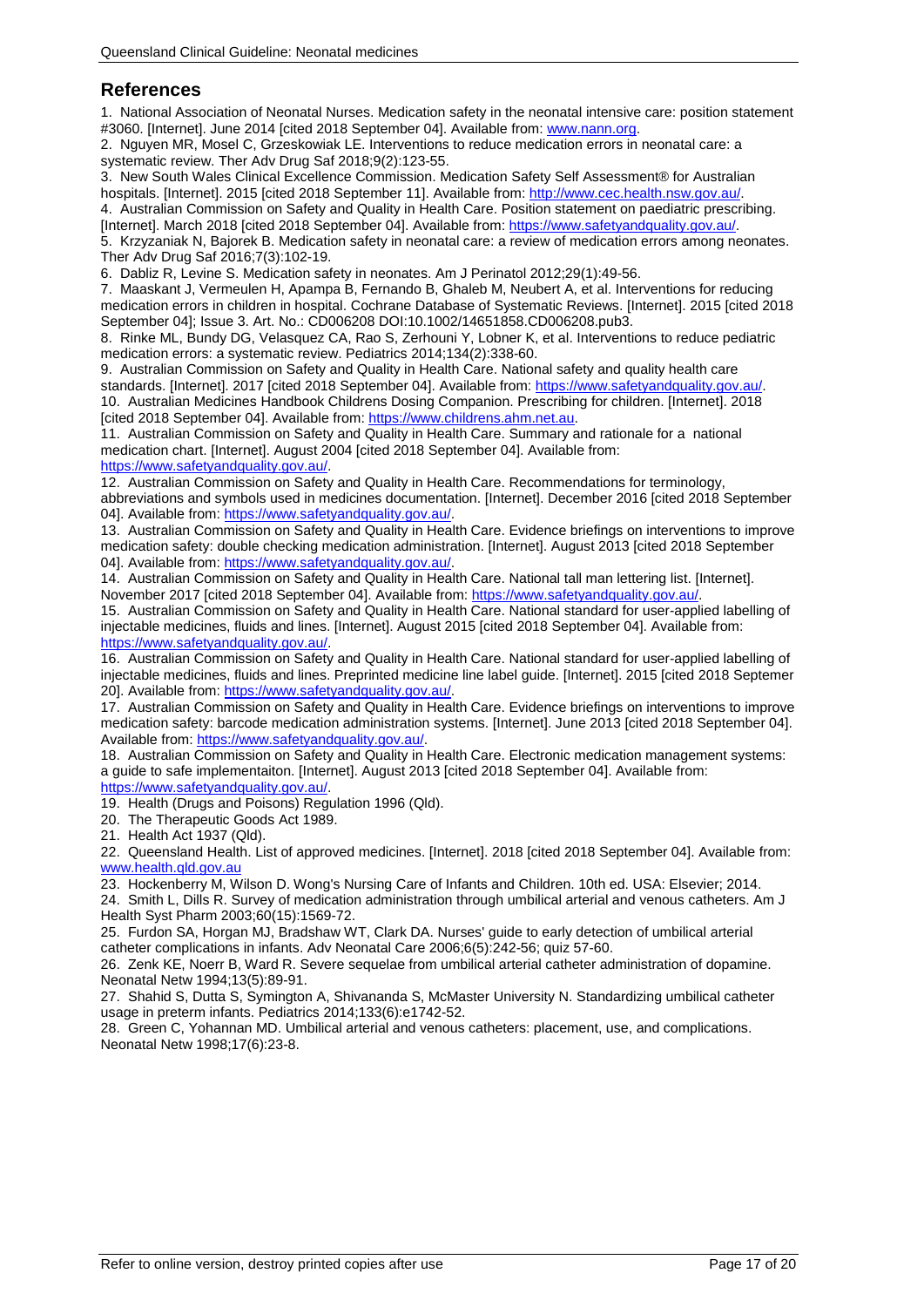### <span id="page-16-0"></span>**References**

1. National Association of Neonatal Nurses. Medication safety in the neonatal intensive care: position statement #3060. [Internet]. June 2014 [cited 2018 September 04]. Available from[: www.nann.org.](http://www.nann.org/)

2. Nguyen MR, Mosel C, Grzeskowiak LE. Interventions to reduce medication errors in neonatal care: a systematic review. Ther Adv Drug Saf 2018;9(2):123-55.

3. New South Wales Clinical Excellence Commission. Medication Safety Self Assessment® for Australian hospitals. [Internet]. 2015 [cited 2018 September 11]. Available from: [http://www.cec.health.nsw.gov.au/.](http://www.cec.health.nsw.gov.au/)

4. Australian Commission on Safety and Quality in Health Care. Position statement on paediatric prescribing. [Internet]. March 2018 [cited 2018 September 04]. Available from: [https://www.safetyandquality.gov.au/.](https://www.safetyandquality.gov.au/)

5. Krzyzaniak N, Bajorek B. Medication safety in neonatal care: a review of medication errors among neonates. Ther Adv Drug Saf 2016;7(3):102-19.

6. Dabliz R, Levine S. Medication safety in neonates. Am J Perinatol 2012;29(1):49-56.

7. Maaskant J, Vermeulen H, Apampa B, Fernando B, Ghaleb M, Neubert A, et al. Interventions for reducing medication errors in children in hospital. Cochrane Database of Systematic Reviews. [Internet]. 2015 [cited 2018 September 04]; Issue 3. Art. No.: CD006208 DOI:10.1002/14651858.CD006208.pub3.

8. Rinke ML, Bundy DG, Velasquez CA, Rao S, Zerhouni Y, Lobner K, et al. Interventions to reduce pediatric medication errors: a systematic review. Pediatrics 2014;134(2):338-60.

9. Australian Commission on Safety and Quality in Health Care. National safety and quality health care standards. [Internet]. 2017 [cited 2018 September 04]. Available from: [https://www.safetyandquality.gov.au/.](https://www.safetyandquality.gov.au/) 10. Australian Medicines Handbook Childrens Dosing Companion. Prescribing for children. [Internet]. 2018 [cited 2018 September 04]. Available from[: https://www.childrens.ahm.net.au.](https://www.childrens.ahm.net.au/)

11. Australian Commission on Safety and Quality in Health Care. Summary and rationale for a national medication chart. [Internet]. August 2004 [cited 2018 September 04]. Available from:

[https://www.safetyandquality.gov.au/.](https://www.safetyandquality.gov.au/)

12. Australian Commission on Safety and Quality in Health Care. Recommendations for terminology, abbreviations and symbols used in medicines documentation. [Internet]. December 2016 [cited 2018 September 04]. Available from[: https://www.safetyandquality.gov.au/.](https://www.safetyandquality.gov.au/)

13. Australian Commission on Safety and Quality in Health Care. Evidence briefings on interventions to improve medication safety: double checking medication administration. [Internet]. August 2013 [cited 2018 September 04]. Available from[: https://www.safetyandquality.gov.au/.](https://www.safetyandquality.gov.au/)

14. Australian Commission on Safety and Quality in Health Care. National tall man lettering list. [Internet]. November 2017 [cited 2018 September 04]. Available from: [https://www.safetyandquality.gov.au/.](https://www.safetyandquality.gov.au/)

15. Australian Commission on Safety and Quality in Health Care. National standard for user-applied labelling of injectable medicines, fluids and lines. [Internet]. August 2015 [cited 2018 September 04]. Available from: [https://www.safetyandquality.gov.au/.](https://www.safetyandquality.gov.au/)

16. Australian Commission on Safety and Quality in Health Care. National standard for user-applied labelling of injectable medicines, fluids and lines. Preprinted medicine line label guide. [Internet]. 2015 [cited 2018 Septemer 20]. Available from[: https://www.safetyandquality.gov.au/.](https://www.safetyandquality.gov.au/)

17. Australian Commission on Safety and Quality in Health Care. Evidence briefings on interventions to improve medication safety: barcode medication administration systems. [Internet]. June 2013 [cited 2018 September 04]. Available from: [https://www.safetyandquality.gov.au/.](https://www.safetyandquality.gov.au/)

18. Australian Commission on Safety and Quality in Health Care. Electronic medication management systems: a guide to safe implementaiton. [Internet]. August 2013 [cited 2018 September 04]. Available from: [https://www.safetyandquality.gov.au/.](https://www.safetyandquality.gov.au/)

19. Health (Drugs and Poisons) Regulation 1996 (Qld).

20. The Therapeutic Goods Act 1989.

21. Health Act 1937 (Qld).

22. Queensland Health. List of approved medicines. [Internet]. 2018 [cited 2018 September 04]. Available from: www.health.gld.gov.au

23. Hockenberry M, Wilson D. Wong's Nursing Care of Infants and Children. 10th ed. USA: Elsevier; 2014.

24. Smith L, Dills R. Survey of medication administration through umbilical arterial and venous catheters. Am J Health Syst Pharm 2003;60(15):1569-72.

25. Furdon SA, Horgan MJ, Bradshaw WT, Clark DA. Nurses' guide to early detection of umbilical arterial catheter complications in infants. Adv Neonatal Care 2006;6(5):242-56; quiz 57-60.

26. Zenk KE, Noerr B, Ward R. Severe sequelae from umbilical arterial catheter administration of dopamine. Neonatal Netw 1994;13(5):89-91.

27. Shahid S, Dutta S, Symington A, Shivananda S, McMaster University N. Standardizing umbilical catheter usage in preterm infants. Pediatrics 2014;133(6):e1742-52.

28. Green C, Yohannan MD. Umbilical arterial and venous catheters: placement, use, and complications. Neonatal Netw 1998;17(6):23-8.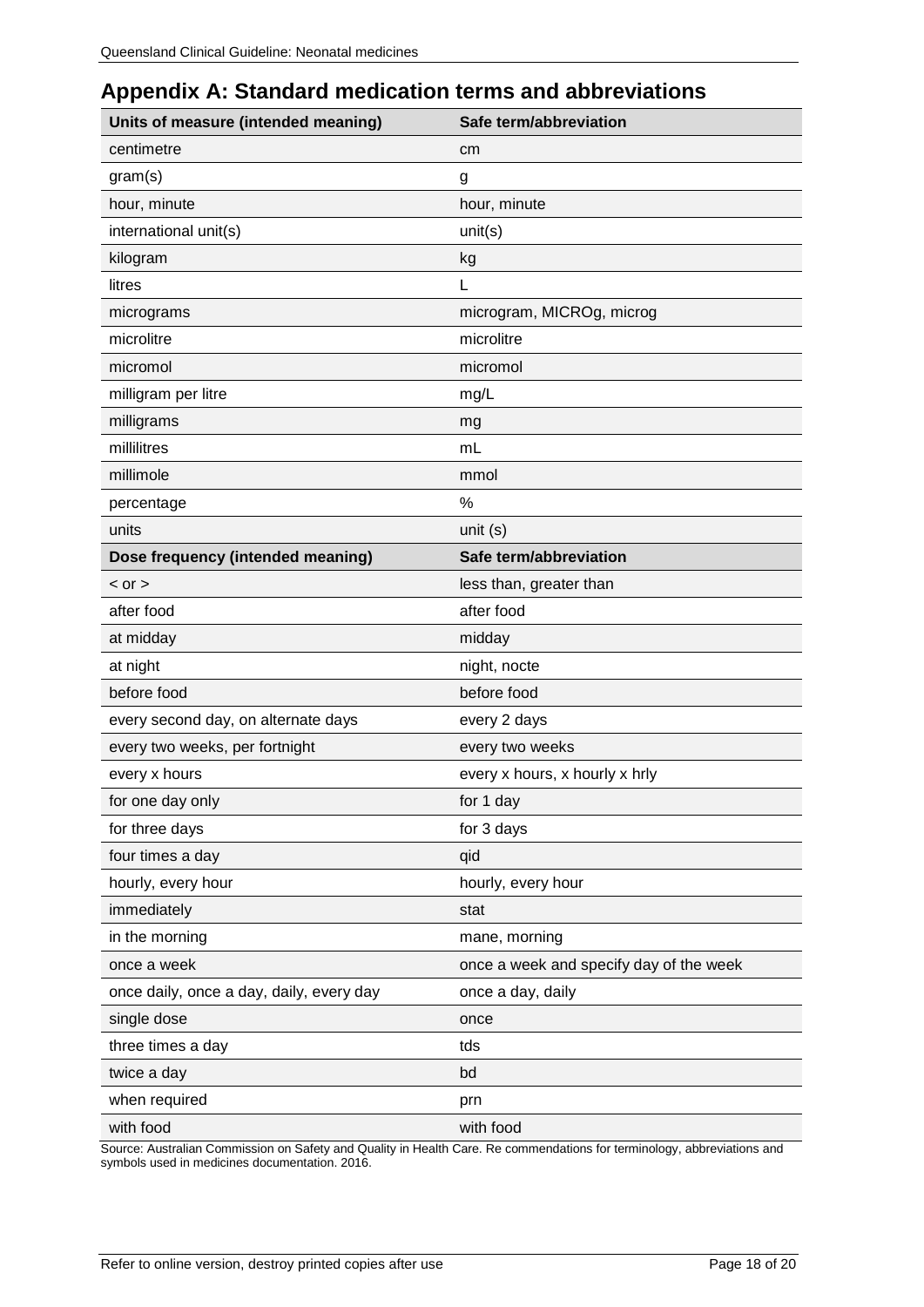# <span id="page-17-0"></span>**Appendix A: Standard medication terms and abbreviations**

| Units of measure (intended meaning)      | Safe term/abbreviation                  |
|------------------------------------------|-----------------------------------------|
| centimetre                               | cm                                      |
| gram(s)                                  | g                                       |
| hour, minute                             | hour, minute                            |
| international unit(s)                    | unit(s)                                 |
| kilogram                                 | kg                                      |
| litres                                   | L                                       |
| micrograms                               | microgram, MICROg, microg               |
| microlitre                               | microlitre                              |
| micromol                                 | micromol                                |
| milligram per litre                      | mg/L                                    |
| milligrams                               | mg                                      |
| millilitres                              | mL                                      |
| millimole                                | mmol                                    |
| percentage                               | %                                       |
| units                                    | unit (s)                                |
| Dose frequency (intended meaning)        | Safe term/abbreviation                  |
| $<$ or $>$                               | less than, greater than                 |
| after food                               | after food                              |
| at midday                                | midday                                  |
| at night                                 | night, nocte                            |
| before food                              | before food                             |
| every second day, on alternate days      | every 2 days                            |
| every two weeks, per fortnight           | every two weeks                         |
| every x hours                            | every x hours, x hourly x hrly          |
| for one day only                         | for 1 day                               |
| for three days                           | for 3 days                              |
| four times a day                         | qid                                     |
| hourly, every hour                       | hourly, every hour                      |
| immediately                              | stat                                    |
| in the morning                           | mane, morning                           |
| once a week                              | once a week and specify day of the week |
| once daily, once a day, daily, every day | once a day, daily                       |
| single dose                              | once                                    |
| three times a day                        | tds                                     |
| twice a day                              | bd                                      |
| when required                            | prn                                     |
| with food                                | with food                               |

Source: Australian Commission on Safety and Quality in Health Care. Re commendations for terminology, abbreviations and symbols used in medicines documentation. 2016.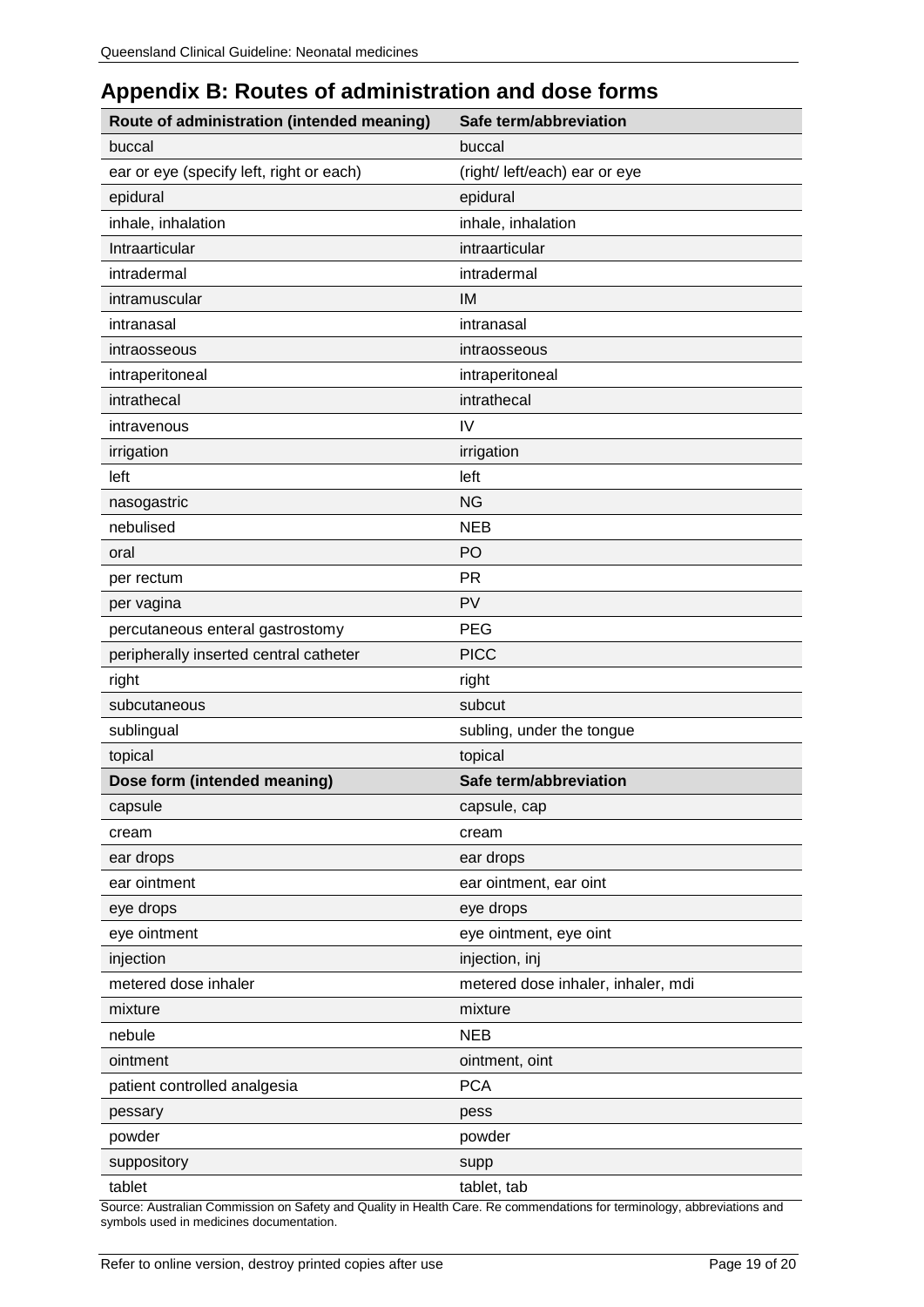# <span id="page-18-0"></span>**Appendix B: Routes of administration and dose forms**

| Route of administration (intended meaning) | Safe term/abbreviation             |
|--------------------------------------------|------------------------------------|
| buccal                                     | buccal                             |
| ear or eye (specify left, right or each)   | (right/ left/each) ear or eye      |
| epidural                                   | epidural                           |
| inhale, inhalation                         | inhale, inhalation                 |
| Intraarticular                             | intraarticular                     |
| intradermal                                | intradermal                        |
| intramuscular                              | IM                                 |
| intranasal                                 | intranasal                         |
| intraosseous                               | intraosseous                       |
| intraperitoneal                            | intraperitoneal                    |
| intrathecal                                | intrathecal                        |
| intravenous                                | IV                                 |
| irrigation                                 | irrigation                         |
| left                                       | left                               |
| nasogastric                                | <b>NG</b>                          |
| nebulised                                  | <b>NEB</b>                         |
| oral                                       | PO                                 |
| per rectum                                 | <b>PR</b>                          |
| per vagina                                 | PV                                 |
| percutaneous enteral gastrostomy           | <b>PEG</b>                         |
| peripherally inserted central catheter     | <b>PICC</b>                        |
| right                                      | right                              |
| subcutaneous                               | subcut                             |
| sublingual                                 | subling, under the tongue          |
| topical                                    | topical                            |
| Dose form (intended meaning)               | Safe term/abbreviation             |
| capsule                                    | capsule, cap                       |
| cream                                      | cream                              |
| ear drops                                  | ear drops                          |
| ear ointment                               | ear ointment, ear oint             |
| eye drops                                  | eye drops                          |
| eye ointment                               | eye ointment, eye oint             |
| injection                                  | injection, inj                     |
| metered dose inhaler                       | metered dose inhaler, inhaler, mdi |
| mixture                                    | mixture                            |
| nebule                                     | <b>NEB</b>                         |
| ointment                                   | ointment, oint                     |
| patient controlled analgesia               | <b>PCA</b>                         |
| pessary                                    | pess                               |
| powder                                     | powder                             |
| suppository                                | supp                               |
| tablet                                     | tablet, tab                        |

Source: Australian Commission on Safety and Quality in Health Care. Re commendations for terminology, abbreviations and symbols used in medicines documentation.